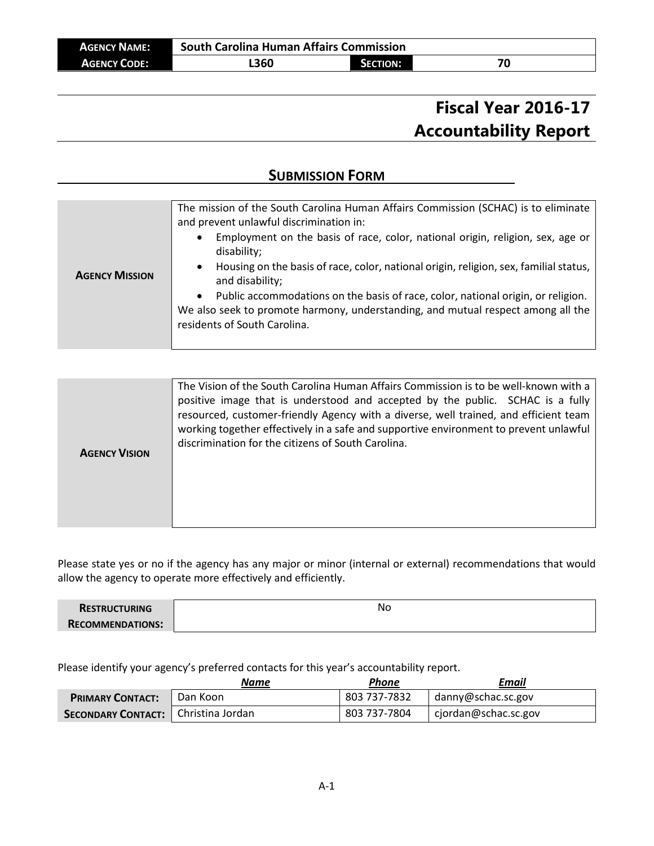# **Fiscal Year 2016-17 Accountability Report**

# **SUBMISSION FORM**

| <b>AGENCY MISSION</b> | The mission of the South Carolina Human Affairs Commission (SCHAC) is to eliminate<br>and prevent unlawful discrimination in:<br>Employment on the basis of race, color, national origin, religion, sex, age or<br>$\bullet$<br>disability;<br>Housing on the basis of race, color, national origin, religion, sex, familial status,<br>$\bullet$<br>and disability;<br>Public accommodations on the basis of race, color, national origin, or religion.<br>$\bullet$<br>We also seek to promote harmony, understanding, and mutual respect among all the<br>residents of South Carolina. |
|-----------------------|-------------------------------------------------------------------------------------------------------------------------------------------------------------------------------------------------------------------------------------------------------------------------------------------------------------------------------------------------------------------------------------------------------------------------------------------------------------------------------------------------------------------------------------------------------------------------------------------|
|-----------------------|-------------------------------------------------------------------------------------------------------------------------------------------------------------------------------------------------------------------------------------------------------------------------------------------------------------------------------------------------------------------------------------------------------------------------------------------------------------------------------------------------------------------------------------------------------------------------------------------|

| The Vision of the South Carolina Human Affairs Commission is to be well-known with a<br>positive image that is understood and accepted by the public. SCHAC is a fully<br>resourced, customer-friendly Agency with a diverse, well trained, and efficient team<br>working together effectively in a safe and supportive environment to prevent unlawful<br>discrimination for the citizens of South Carolina.<br><b>AGENCY VISION</b> |
|---------------------------------------------------------------------------------------------------------------------------------------------------------------------------------------------------------------------------------------------------------------------------------------------------------------------------------------------------------------------------------------------------------------------------------------|
|---------------------------------------------------------------------------------------------------------------------------------------------------------------------------------------------------------------------------------------------------------------------------------------------------------------------------------------------------------------------------------------------------------------------------------------|

Please state yes or no if the agency has any major or minor (internal or external) recommendations that would allow the agency to operate more effectively and efficiently.

| <b>RESTRUCTURING</b>  | No |
|-----------------------|----|
| <b>COMMENDATIONS:</b> |    |

Please identify your agency's preferred contacts for this year's accountability report.

|                                       | Name     | Phone        | Email                |
|---------------------------------------|----------|--------------|----------------------|
| <b>PRIMARY CONTACT:</b>               | Dan Koon | 803 737-7832 | danny@schac.sc.gov   |
| SECONDARY CONTACT:   Christina Jordan |          | 803 737-7804 | cjordan@schac.sc.gov |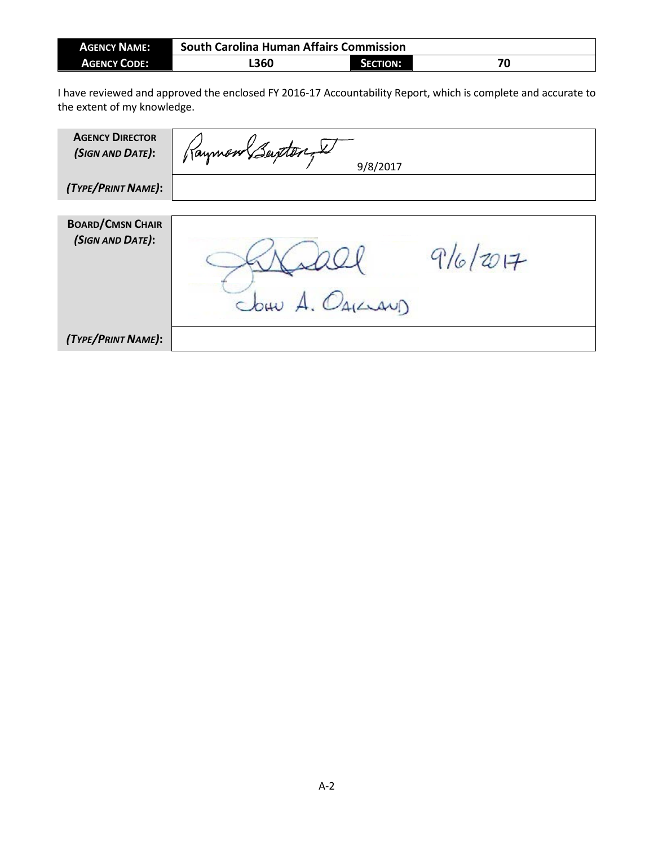| <b>AGENCY NAME:</b> | <b>South Carolina Human Affairs Commission</b> |                 |    |
|---------------------|------------------------------------------------|-----------------|----|
| <b>AGENCY CODE:</b> | L360                                           | <b>SECTION:</b> | 70 |

I have reviewed and approved the enclosed FY 2016-17 Accountability Report, which is complete and accurate to the extent of my knowledge.

| <b>AGENCY DIRECTOR</b><br>(SIGN AND DATE):  | Raymon Beinter<br>9/8/2017 |          |
|---------------------------------------------|----------------------------|----------|
| (TYPE/PRINT NAME):                          |                            |          |
| <b>BOARD/CMSN CHAIR</b><br>(SIGN AND DATE): | Jour A. Oguar              | 9/6/2017 |
| (TYPE/PRINT NAME):                          |                            |          |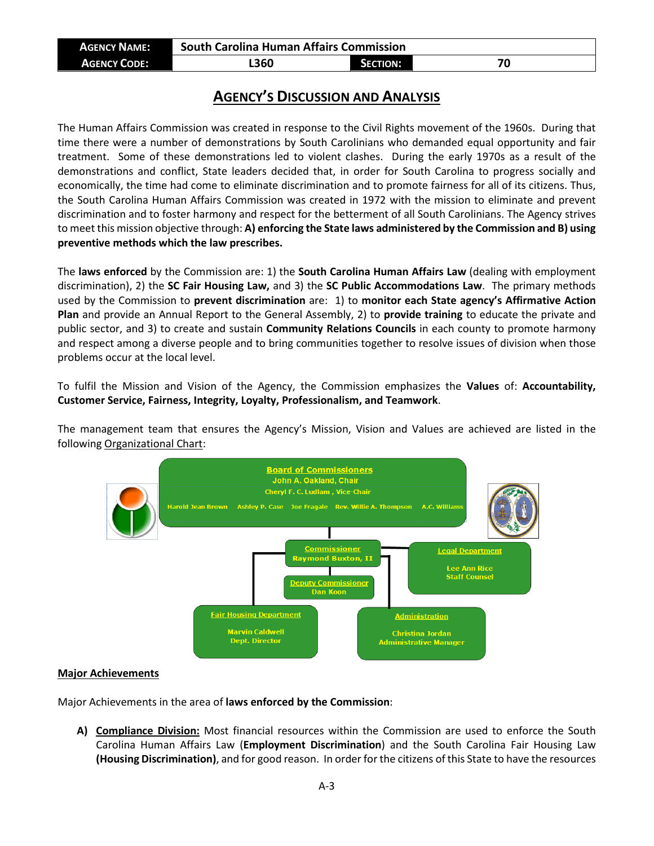| <b>AGENCY NAME:</b> | <b>South Carolina Human Affairs Commission</b> |                 |  |
|---------------------|------------------------------------------------|-----------------|--|
| <b>AGENCY CODE:</b> | <b>L360</b>                                    | <b>SECTION:</b> |  |

## **AGENCY'S DISCUSSION AND ANALYSIS**

The Human Affairs Commission was created in response to the Civil Rights movement of the 1960s. During that time there were a number of demonstrations by South Carolinians who demanded equal opportunity and fair treatment. Some of these demonstrations led to violent clashes. During the early 1970s as a result of the demonstrations and conflict, State leaders decided that, in order for South Carolina to progress socially and economically, the time had come to eliminate discrimination and to promote fairness for all of its citizens. Thus, the South Carolina Human Affairs Commission was created in 1972 with the mission to eliminate and prevent discrimination and to foster harmony and respect for the betterment of all South Carolinians. The Agency strives to meet this mission objective through: **A) enforcing the State laws administered by the Commission and B) using preventive methods which the law prescribes.** 

The **laws enforced** by the Commission are: 1) the **South Carolina Human Affairs Law** (dealing with employment discrimination), 2) the **SC Fair Housing Law,** and 3) the **SC Public Accommodations Law**. The primary methods used by the Commission to **prevent discrimination** are: 1) to **monitor each State agency's Affirmative Action Plan** and provide an Annual Report to the General Assembly, 2) to **provide training** to educate the private and public sector, and 3) to create and sustain **Community Relations Councils** in each county to promote harmony and respect among a diverse people and to bring communities together to resolve issues of division when those problems occur at the local level.

To fulfil the Mission and Vision of the Agency, the Commission emphasizes the **Values** of: **Accountability, Customer Service, Fairness, Integrity, Loyalty, Professionalism, and Teamwork**.

The management team that ensures the Agency's Mission, Vision and Values are achieved are listed in the following Organizational Chart:



#### **Major Achievements**

Major Achievements in the area of **laws enforced by the Commission**:

**A) Compliance Division:** Most financial resources within the Commission are used to enforce the South Carolina Human Affairs Law (**Employment Discrimination**) and the South Carolina Fair Housing Law **(Housing Discrimination)**, and for good reason. In order for the citizens of this State to have the resources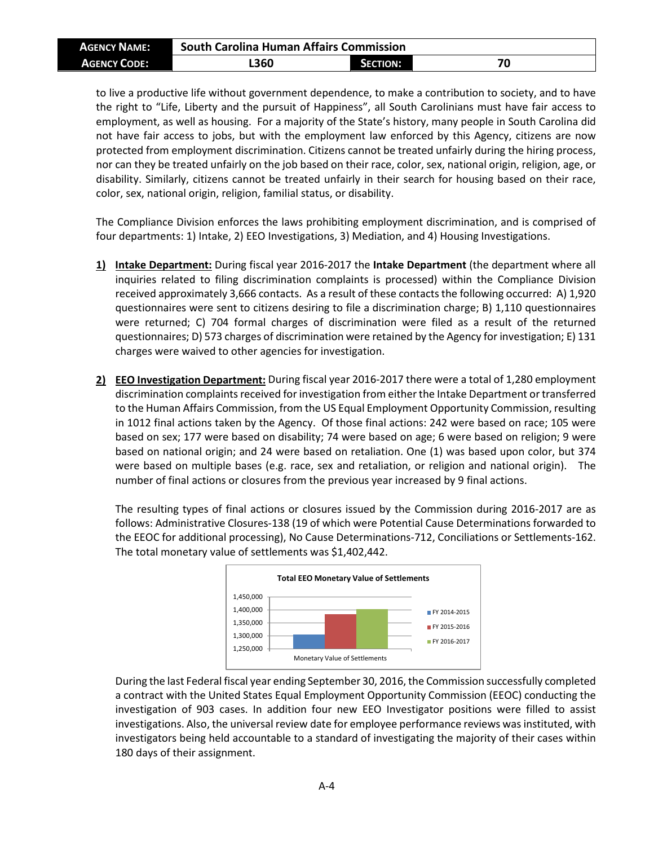| <b>AGENCY NAME:</b> | <b>South Carolina Human Affairs Commission</b> |                 |    |
|---------------------|------------------------------------------------|-----------------|----|
| <b>AGENCY CODE:</b> | L360                                           | <b>SECTION:</b> | 70 |

to live a productive life without government dependence, to make a contribution to society, and to have the right to "Life, Liberty and the pursuit of Happiness", all South Carolinians must have fair access to employment, as well as housing. For a majority of the State's history, many people in South Carolina did not have fair access to jobs, but with the employment law enforced by this Agency, citizens are now protected from employment discrimination. Citizens cannot be treated unfairly during the hiring process, nor can they be treated unfairly on the job based on their race, color, sex, national origin, religion, age, or disability. Similarly, citizens cannot be treated unfairly in their search for housing based on their race, color, sex, national origin, religion, familial status, or disability.

The Compliance Division enforces the laws prohibiting employment discrimination, and is comprised of four departments: 1) Intake, 2) EEO Investigations, 3) Mediation, and 4) Housing Investigations.

- **1) Intake Department:** During fiscal year 2016-2017 the **Intake Department** (the department where all inquiries related to filing discrimination complaints is processed) within the Compliance Division received approximately 3,666 contacts. As a result of these contacts the following occurred: A) 1,920 questionnaires were sent to citizens desiring to file a discrimination charge; B) 1,110 questionnaires were returned; C) 704 formal charges of discrimination were filed as a result of the returned questionnaires; D) 573 charges of discrimination were retained by the Agency for investigation; E) 131 charges were waived to other agencies for investigation.
- **2) EEO Investigation Department:** During fiscal year 2016-2017 there were a total of 1,280 employment discrimination complaints received for investigation from either the Intake Department or transferred to the Human Affairs Commission, from the US Equal Employment Opportunity Commission, resulting in 1012 final actions taken by the Agency. Of those final actions: 242 were based on race; 105 were based on sex; 177 were based on disability; 74 were based on age; 6 were based on religion; 9 were based on national origin; and 24 were based on retaliation. One (1) was based upon color, but 374 were based on multiple bases (e.g. race, sex and retaliation, or religion and national origin). The number of final actions or closures from the previous year increased by 9 final actions.

The resulting types of final actions or closures issued by the Commission during 2016-2017 are as follows: Administrative Closures-138 (19 of which were Potential Cause Determinations forwarded to the EEOC for additional processing), No Cause Determinations-712, Conciliations or Settlements-162. The total monetary value of settlements was \$1,402,442.



During the last Federal fiscal year ending September 30, 2016, the Commission successfully completed a contract with the United States Equal Employment Opportunity Commission (EEOC) conducting the investigation of 903 cases. In addition four new EEO Investigator positions were filled to assist investigations. Also, the universal review date for employee performance reviews was instituted, with investigators being held accountable to a standard of investigating the majority of their cases within 180 days of their assignment.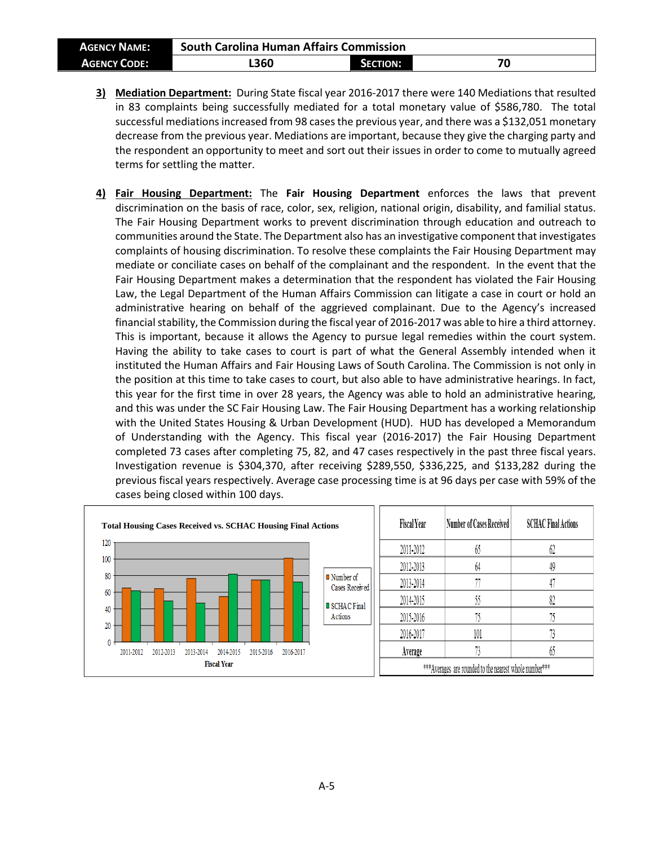| <b>AGENCY NAME:</b> | <b>South Carolina Human Affairs Commission</b> |                 |    |
|---------------------|------------------------------------------------|-----------------|----|
| <b>AGENCY CODE:</b> | L360                                           | <b>SECTION:</b> | 70 |

- **3) Mediation Department:** During State fiscal year 2016-2017 there were 140 Mediations that resulted in 83 complaints being successfully mediated for a total monetary value of \$586,780. The total successful mediations increased from 98 cases the previous year, and there was a \$132,051 monetary decrease from the previous year. Mediations are important, because they give the charging party and the respondent an opportunity to meet and sort out their issues in order to come to mutually agreed terms for settling the matter.
- **4) Fair Housing Department:** The **Fair Housing Department** enforces the laws that prevent discrimination on the basis of race, color, sex, religion, national origin, disability, and familial status. The Fair Housing Department works to prevent discrimination through education and outreach to communities around the State. The Department also has an investigative component that investigates complaints of housing discrimination. To resolve these complaints the Fair Housing Department may mediate or conciliate cases on behalf of the complainant and the respondent. In the event that the Fair Housing Department makes a determination that the respondent has violated the Fair Housing Law, the Legal Department of the Human Affairs Commission can litigate a case in court or hold an administrative hearing on behalf of the aggrieved complainant. Due to the Agency's increased financial stability, the Commission during the fiscal year of 2016-2017 was able to hire a third attorney. This is important, because it allows the Agency to pursue legal remedies within the court system. Having the ability to take cases to court is part of what the General Assembly intended when it instituted the Human Affairs and Fair Housing Laws of South Carolina. The Commission is not only in the position at this time to take cases to court, but also able to have administrative hearings. In fact, this year for the first time in over 28 years, the Agency was able to hold an administrative hearing, and this was under the SC Fair Housing Law. The Fair Housing Department has a working relationship with the United States Housing & Urban Development (HUD). HUD has developed a Memorandum of Understanding with the Agency. This fiscal year (2016-2017) the Fair Housing Department completed 73 cases after completing 75, 82, and 47 cases respectively in the past three fiscal years. Investigation revenue is \$304,370, after receiving \$289,550, \$336,225, and \$133,282 during the previous fiscal years respectively. Average case processing time is at 96 days per case with 59% of the cases being closed within 100 days.

| <b>Total Housing Cases Received vs. SCHAC Housing Final Actions</b>        |                                            | <b>Fiscal Year</b> | Number of Cases Received                                | <b>SCHAC Final Actions</b> |
|----------------------------------------------------------------------------|--------------------------------------------|--------------------|---------------------------------------------------------|----------------------------|
| 120                                                                        |                                            | 2011-2012          | 63                                                      | 02                         |
| 100                                                                        |                                            | 2012-2013          | 64                                                      | 49                         |
| 80                                                                         | $\blacksquare$ Number of<br>Cases Received | 2013-2014          |                                                         |                            |
| 60                                                                         | SCHAC Final                                | 2014-2015          |                                                         | 82                         |
| 40<br>20                                                                   | Actions                                    | 2015-2016          |                                                         |                            |
|                                                                            |                                            | 2016-2017          | 101                                                     |                            |
| 2012-2013<br>2015-2016<br>2011-2012<br>2013-2014<br>2014-2015<br>2016-2017 |                                            | Average            |                                                         | b.                         |
| <b>Fiscal Year</b>                                                         |                                            |                    | *** Averages are rounded to the nearest whole number*** |                            |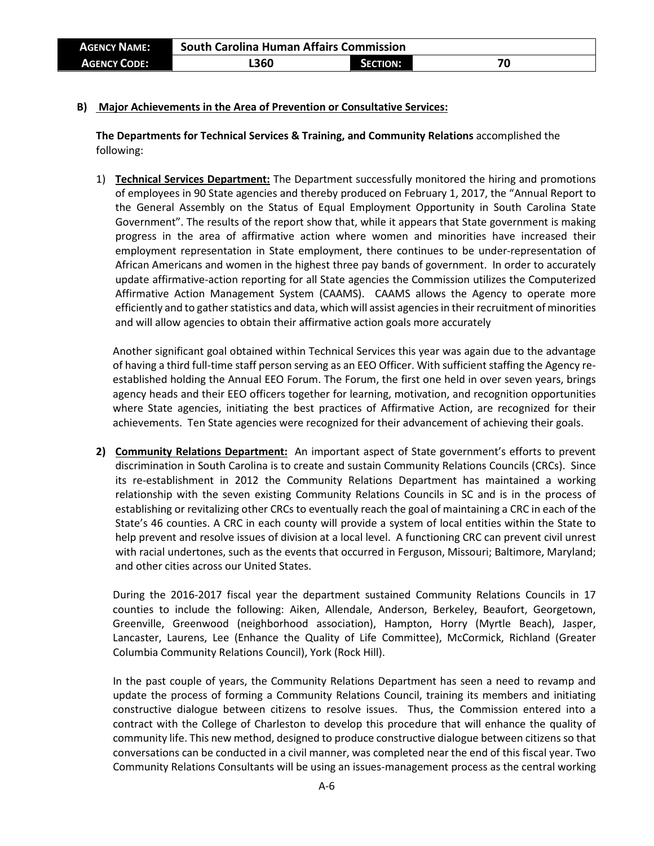| <b>AGENCY NAME:</b> | <b>South Carolina Human Affairs Commission</b> |                 |    |
|---------------------|------------------------------------------------|-----------------|----|
| <b>AGENCY CODE:</b> | 360ء                                           | <b>SECTION:</b> | 70 |

#### **B) Major Achievements in the Area of Prevention or Consultative Services:**

**The Departments for Technical Services & Training, and Community Relations** accomplished the following:

1) **Technical Services Department:** The Department successfully monitored the hiring and promotions of employees in 90 State agencies and thereby produced on February 1, 2017, the "Annual Report to the General Assembly on the Status of Equal Employment Opportunity in South Carolina State Government". The results of the report show that, while it appears that State government is making progress in the area of affirmative action where women and minorities have increased their employment representation in State employment, there continues to be under-representation of African Americans and women in the highest three pay bands of government. In order to accurately update affirmative-action reporting for all State agencies the Commission utilizes the Computerized Affirmative Action Management System (CAAMS). CAAMS allows the Agency to operate more efficiently and to gather statistics and data, which will assist agenciesin their recruitment of minorities and will allow agencies to obtain their affirmative action goals more accurately

Another significant goal obtained within Technical Services this year was again due to the advantage of having a third full-time staff person serving as an EEO Officer. With sufficient staffing the Agency reestablished holding the Annual EEO Forum. The Forum, the first one held in over seven years, brings agency heads and their EEO officers together for learning, motivation, and recognition opportunities where State agencies, initiating the best practices of Affirmative Action, are recognized for their achievements. Ten State agencies were recognized for their advancement of achieving their goals.

**2) Community Relations Department:** An important aspect of State government's efforts to prevent discrimination in South Carolina is to create and sustain Community Relations Councils (CRCs). Since its re-establishment in 2012 the Community Relations Department has maintained a working relationship with the seven existing Community Relations Councils in SC and is in the process of establishing or revitalizing other CRCs to eventually reach the goal of maintaining a CRC in each of the State's 46 counties. A CRC in each county will provide a system of local entities within the State to help prevent and resolve issues of division at a local level. A functioning CRC can prevent civil unrest with racial undertones, such as the events that occurred in Ferguson, Missouri; Baltimore, Maryland; and other cities across our United States.

During the 2016-2017 fiscal year the department sustained Community Relations Councils in 17 counties to include the following: Aiken, Allendale, Anderson, Berkeley, Beaufort, Georgetown, Greenville, Greenwood (neighborhood association), Hampton, Horry (Myrtle Beach), Jasper, Lancaster, Laurens, Lee (Enhance the Quality of Life Committee), McCormick, Richland (Greater Columbia Community Relations Council), York (Rock Hill).

In the past couple of years, the Community Relations Department has seen a need to revamp and update the process of forming a Community Relations Council, training its members and initiating constructive dialogue between citizens to resolve issues. Thus, the Commission entered into a contract with the College of Charleston to develop this procedure that will enhance the quality of community life. This new method, designed to produce constructive dialogue between citizens so that conversations can be conducted in a civil manner, was completed near the end of this fiscal year. Two Community Relations Consultants will be using an issues-management process as the central working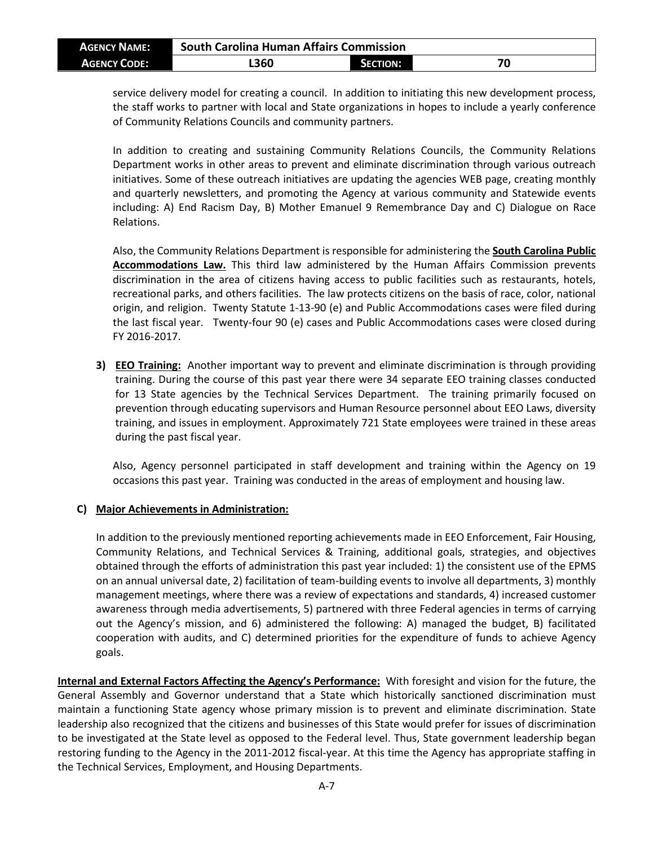| <b>AGENCY NAME:</b> | <b>South Carolina Human Affairs Commission</b> |                 |    |
|---------------------|------------------------------------------------|-----------------|----|
| <b>AGENCY CODE:</b> | L360                                           | <b>SECTION:</b> | 70 |

service delivery model for creating a council. In addition to initiating this new development process, the staff works to partner with local and State organizations in hopes to include a yearly conference of Community Relations Councils and community partners.

In addition to creating and sustaining Community Relations Councils, the Community Relations Department works in other areas to prevent and eliminate discrimination through various outreach initiatives. Some of these outreach initiatives are updating the agencies WEB page, creating monthly and quarterly newsletters, and promoting the Agency at various community and Statewide events including: A) End Racism Day, B) Mother Emanuel 9 Remembrance Day and C) Dialogue on Race Relations.

Also, the Community Relations Department is responsible for administering the **South Carolina Public Accommodations Law.** This third law administered by the Human Affairs Commission prevents discrimination in the area of citizens having access to public facilities such as restaurants, hotels, recreational parks, and others facilities. The law protects citizens on the basis of race, color, national origin, and religion. Twenty Statute 1-13-90 (e) and Public Accommodations cases were filed during the last fiscal year. Twenty-four 90 (e) cases and Public Accommodations cases were closed during FY 2016-2017.

**3) EEO Training:** Another important way to prevent and eliminate discrimination is through providing training. During the course of this past year there were 34 separate EEO training classes conducted for 13 State agencies by the Technical Services Department. The training primarily focused on prevention through educating supervisors and Human Resource personnel about EEO Laws, diversity training, and issues in employment. Approximately 721 State employees were trained in these areas during the past fiscal year.

Also, Agency personnel participated in staff development and training within the Agency on 19 occasions this past year. Training was conducted in the areas of employment and housing law.

#### **C) Major Achievements in Administration:**

In addition to the previously mentioned reporting achievements made in EEO Enforcement, Fair Housing, Community Relations, and Technical Services & Training, additional goals, strategies, and objectives obtained through the efforts of administration this past year included: 1) the consistent use of the EPMS on an annual universal date, 2) facilitation of team-building events to involve all departments, 3) monthly management meetings, where there was a review of expectations and standards, 4) increased customer awareness through media advertisements, 5) partnered with three Federal agencies in terms of carrying out the Agency's mission, and 6) administered the following: A) managed the budget, B) facilitated cooperation with audits, and C) determined priorities for the expenditure of funds to achieve Agency goals.

**Internal and External Factors Affecting the Agency's Performance:** With foresight and vision for the future, the General Assembly and Governor understand that a State which historically sanctioned discrimination must maintain a functioning State agency whose primary mission is to prevent and eliminate discrimination. State leadership also recognized that the citizens and businesses of this State would prefer for issues of discrimination to be investigated at the State level as opposed to the Federal level. Thus, State government leadership began restoring funding to the Agency in the 2011-2012 fiscal-year. At this time the Agency has appropriate staffing in the Technical Services, Employment, and Housing Departments.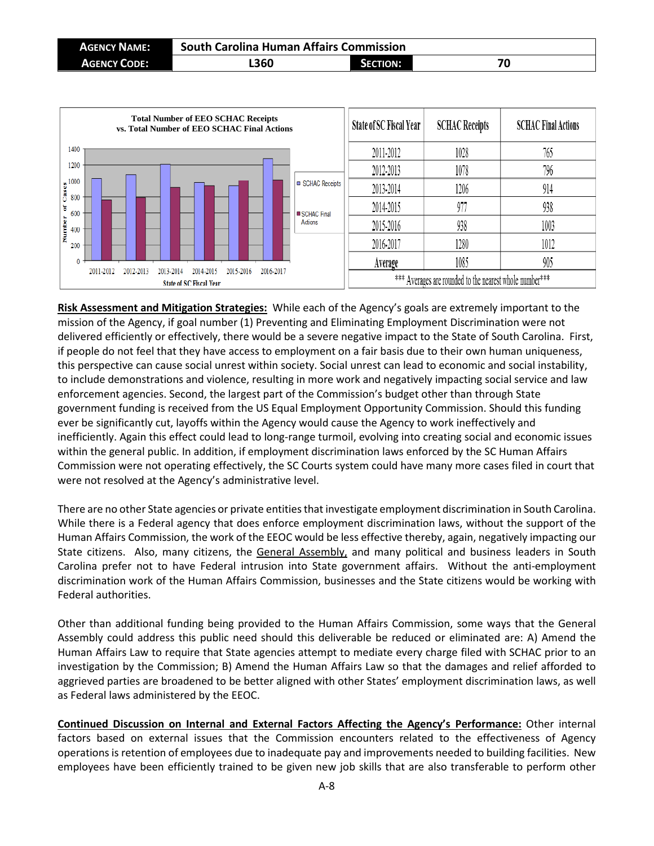| <b>AGENCY NAME:</b> | <b>South Carolina Human Affairs Commission</b> |                 |    |
|---------------------|------------------------------------------------|-----------------|----|
| <b>AGENCY CODE:</b> | L360                                           | <b>SECTION:</b> | 70 |



**Risk Assessment and Mitigation Strategies:** While each of the Agency's goals are extremely important to the mission of the Agency, if goal number (1) Preventing and Eliminating Employment Discrimination were not delivered efficiently or effectively, there would be a severe negative impact to the State of South Carolina. First, if people do not feel that they have access to employment on a fair basis due to their own human uniqueness, this perspective can cause social unrest within society. Social unrest can lead to economic and social instability, to include demonstrations and violence, resulting in more work and negatively impacting social service and law enforcement agencies. Second, the largest part of the Commission's budget other than through State government funding is received from the US Equal Employment Opportunity Commission. Should this funding ever be significantly cut, layoffs within the Agency would cause the Agency to work ineffectively and inefficiently. Again this effect could lead to long-range turmoil, evolving into creating social and economic issues within the general public. In addition, if employment discrimination laws enforced by the SC Human Affairs Commission were not operating effectively, the SC Courts system could have many more cases filed in court that were not resolved at the Agency's administrative level.

There are no other State agencies or private entities that investigate employment discrimination in South Carolina. While there is a Federal agency that does enforce employment discrimination laws, without the support of the Human Affairs Commission, the work of the EEOC would be less effective thereby, again, negatively impacting our State citizens. Also, many citizens, the General Assembly, and many political and business leaders in South Carolina prefer not to have Federal intrusion into State government affairs. Without the anti-employment discrimination work of the Human Affairs Commission, businesses and the State citizens would be working with Federal authorities.

Other than additional funding being provided to the Human Affairs Commission, some ways that the General Assembly could address this public need should this deliverable be reduced or eliminated are: A) Amend the Human Affairs Law to require that State agencies attempt to mediate every charge filed with SCHAC prior to an investigation by the Commission; B) Amend the Human Affairs Law so that the damages and relief afforded to aggrieved parties are broadened to be better aligned with other States' employment discrimination laws, as well as Federal laws administered by the EEOC.

**Continued Discussion on Internal and External Factors Affecting the Agency's Performance:** Other internal factors based on external issues that the Commission encounters related to the effectiveness of Agency operations is retention of employees due to inadequate pay and improvements needed to building facilities. New employees have been efficiently trained to be given new job skills that are also transferable to perform other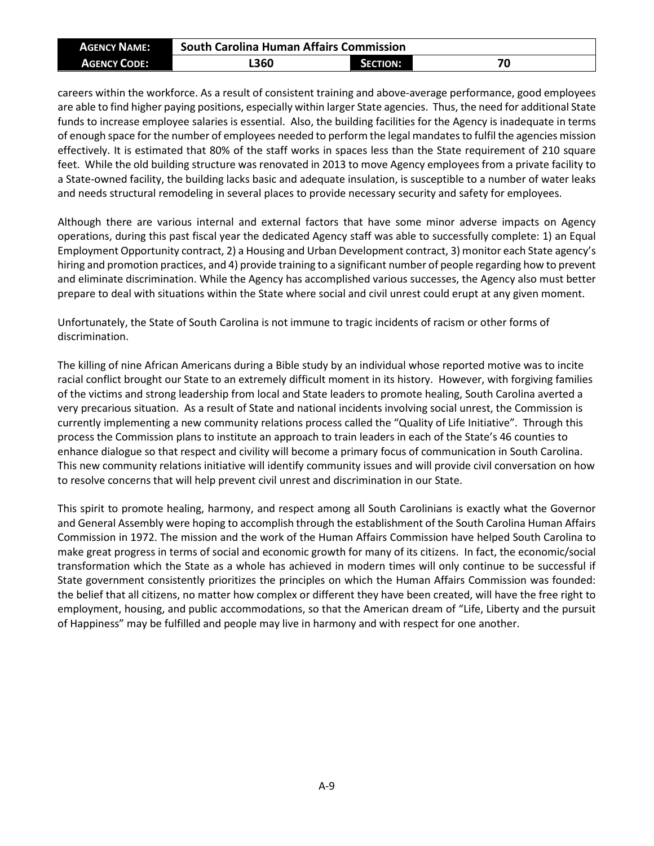| <b>AGENCY NAME:</b> | <b>South Carolina Human Affairs Commission</b> |          |    |
|---------------------|------------------------------------------------|----------|----|
| <b>AGENCY CODE:</b> | L360                                           | SECTION: | 70 |

careers within the workforce. As a result of consistent training and above-average performance, good employees are able to find higher paying positions, especially within larger State agencies. Thus, the need for additional State funds to increase employee salaries is essential. Also, the building facilities for the Agency is inadequate in terms of enough space for the number of employees needed to perform the legal mandates to fulfil the agencies mission effectively. It is estimated that 80% of the staff works in spaces less than the State requirement of 210 square feet. While the old building structure was renovated in 2013 to move Agency employees from a private facility to a State-owned facility, the building lacks basic and adequate insulation, is susceptible to a number of water leaks and needs structural remodeling in several places to provide necessary security and safety for employees.

Although there are various internal and external factors that have some minor adverse impacts on Agency operations, during this past fiscal year the dedicated Agency staff was able to successfully complete: 1) an Equal Employment Opportunity contract, 2) a Housing and Urban Development contract, 3) monitor each State agency's hiring and promotion practices, and 4) provide training to a significant number of people regarding how to prevent and eliminate discrimination. While the Agency has accomplished various successes, the Agency also must better prepare to deal with situations within the State where social and civil unrest could erupt at any given moment.

Unfortunately, the State of South Carolina is not immune to tragic incidents of racism or other forms of discrimination.

The killing of nine African Americans during a Bible study by an individual whose reported motive was to incite racial conflict brought our State to an extremely difficult moment in its history. However, with forgiving families of the victims and strong leadership from local and State leaders to promote healing, South Carolina averted a very precarious situation. As a result of State and national incidents involving social unrest, the Commission is currently implementing a new community relations process called the "Quality of Life Initiative". Through this process the Commission plans to institute an approach to train leaders in each of the State's 46 counties to enhance dialogue so that respect and civility will become a primary focus of communication in South Carolina. This new community relations initiative will identify community issues and will provide civil conversation on how to resolve concerns that will help prevent civil unrest and discrimination in our State.

This spirit to promote healing, harmony, and respect among all South Carolinians is exactly what the Governor and General Assembly were hoping to accomplish through the establishment of the South Carolina Human Affairs Commission in 1972. The mission and the work of the Human Affairs Commission have helped South Carolina to make great progress in terms of social and economic growth for many of its citizens. In fact, the economic/social transformation which the State as a whole has achieved in modern times will only continue to be successful if State government consistently prioritizes the principles on which the Human Affairs Commission was founded: the belief that all citizens, no matter how complex or different they have been created, will have the free right to employment, housing, and public accommodations, so that the American dream of "Life, Liberty and the pursuit of Happiness" may be fulfilled and people may live in harmony and with respect for one another.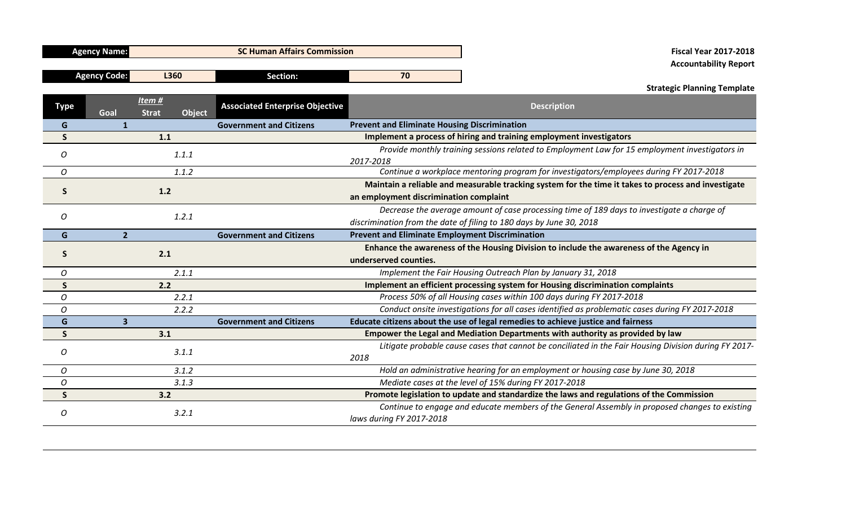| <b>Agency Name:</b> | <b>SC Human Affairs Commission</b> |          |    |  |  |  |  |  |  |
|---------------------|------------------------------------|----------|----|--|--|--|--|--|--|
|                     |                                    |          |    |  |  |  |  |  |  |
| <b>Agency Code:</b> | <b>360</b>                         | Section: | 70 |  |  |  |  |  |  |

## **Agency Name: SC Human Affairs Commission Fiscal Year 2017-2018 Accountability Report**

## **Strategic Planning Template**

| <b>Type</b>    | Goal                    | Item#<br><b>Strat</b> | <b>Object</b> | <b>Associated Enterprise Objective</b> | <b>Description</b>                                                                                    |  |                                                                                                |  |  |  |
|----------------|-------------------------|-----------------------|---------------|----------------------------------------|-------------------------------------------------------------------------------------------------------|--|------------------------------------------------------------------------------------------------|--|--|--|
| G              |                         |                       |               | <b>Government and Citizens</b>         | <b>Prevent and Eliminate Housing Discrimination</b>                                                   |  |                                                                                                |  |  |  |
| S              |                         | 1.1                   |               |                                        | Implement a process of hiring and training employment investigators                                   |  |                                                                                                |  |  |  |
| O              |                         | 1.1.1                 |               |                                        |                                                                                                       |  | Provide monthly training sessions related to Employment Law for 15 employment investigators in |  |  |  |
|                |                         |                       |               |                                        | 2017-2018                                                                                             |  |                                                                                                |  |  |  |
| O              |                         |                       | 1.1.2         |                                        | Continue a workplace mentoring program for investigators/employees during FY 2017-2018                |  |                                                                                                |  |  |  |
| <b>S</b>       | 1.2                     |                       |               |                                        | Maintain a reliable and measurable tracking system for the time it takes to process and investigate   |  |                                                                                                |  |  |  |
|                |                         |                       |               |                                        | an employment discrimination complaint                                                                |  |                                                                                                |  |  |  |
| $\overline{O}$ |                         |                       | 1.2.1         |                                        | Decrease the average amount of case processing time of 189 days to investigate a charge of            |  |                                                                                                |  |  |  |
|                |                         |                       |               |                                        | discrimination from the date of filing to 180 days by June 30, 2018                                   |  |                                                                                                |  |  |  |
| G              | $\overline{2}$          |                       |               | <b>Government and Citizens</b>         | <b>Prevent and Eliminate Employment Discrimination</b>                                                |  |                                                                                                |  |  |  |
| S              |                         | 2.1                   |               |                                        | Enhance the awareness of the Housing Division to include the awareness of the Agency in               |  |                                                                                                |  |  |  |
|                |                         |                       |               |                                        | underserved counties.                                                                                 |  |                                                                                                |  |  |  |
| 0              |                         |                       | 2.1.1         |                                        | Implement the Fair Housing Outreach Plan by January 31, 2018                                          |  |                                                                                                |  |  |  |
| S              |                         | 2.2                   |               |                                        | Implement an efficient processing system for Housing discrimination complaints                        |  |                                                                                                |  |  |  |
| 0              |                         |                       | 2.2.1         |                                        | Process 50% of all Housing cases within 100 days during FY 2017-2018                                  |  |                                                                                                |  |  |  |
| 0              |                         |                       | 2.2.2         |                                        | Conduct onsite investigations for all cases identified as problematic cases during FY 2017-2018       |  |                                                                                                |  |  |  |
| G              | $\overline{\mathbf{3}}$ |                       |               | <b>Government and Citizens</b>         | Educate citizens about the use of legal remedies to achieve justice and fairness                      |  |                                                                                                |  |  |  |
| S              |                         | 3.1                   |               |                                        | Empower the Legal and Mediation Departments with authority as provided by law                         |  |                                                                                                |  |  |  |
| 0              |                         |                       | 3.1.1         |                                        | Litigate probable cause cases that cannot be conciliated in the Fair Housing Division during FY 2017- |  |                                                                                                |  |  |  |
|                |                         |                       |               |                                        | 2018                                                                                                  |  |                                                                                                |  |  |  |
| O              |                         |                       | 3.1.2         |                                        | Hold an administrative hearing for an employment or housing case by June 30, 2018                     |  |                                                                                                |  |  |  |
| 0              |                         |                       | 3.1.3         |                                        | Mediate cases at the level of 15% during FY 2017-2018                                                 |  |                                                                                                |  |  |  |
| S              |                         | 3.2                   |               |                                        | Promote legislation to update and standardize the laws and regulations of the Commission              |  |                                                                                                |  |  |  |
| O              |                         |                       | 3.2.1         |                                        | Continue to engage and educate members of the General Assembly in proposed changes to existing        |  |                                                                                                |  |  |  |
|                |                         |                       |               |                                        | laws during FY 2017-2018                                                                              |  |                                                                                                |  |  |  |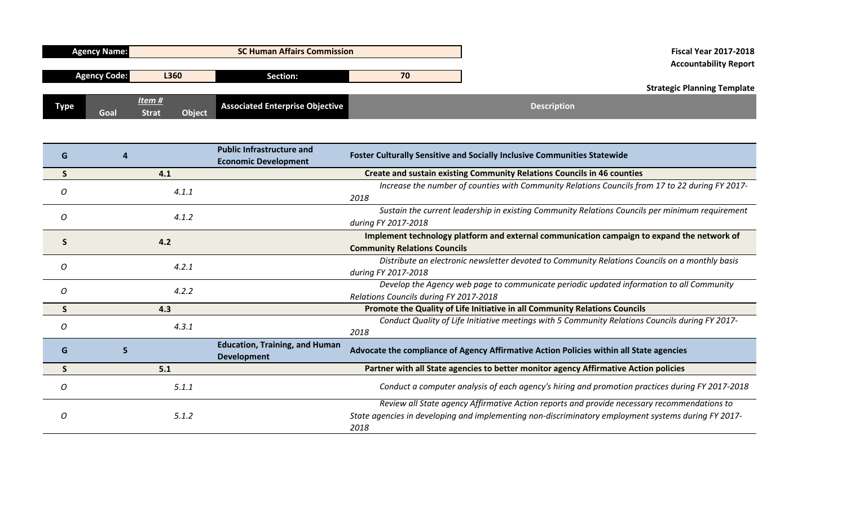|      | <b>Agency Name:</b> |                                 | <b>SC Human Affairs Commission</b> |    | <b>Fiscal Year 2017-2018</b><br><b>Accountability Report</b> |                                    |
|------|---------------------|---------------------------------|------------------------------------|----|--------------------------------------------------------------|------------------------------------|
|      | <b>Agency Code:</b> | L360                            | Section:                           | 70 |                                                              | <b>Strategic Planning Template</b> |
| Туре | Goal                | Item#<br>Object<br><b>Strat</b> | Associated Enterprise Objective    |    | <b>Description</b>                                           |                                    |

| G        |       | <b>Public Infrastructure and</b>      | Foster Culturally Sensitive and Socially Inclusive Communities Statewide                            |
|----------|-------|---------------------------------------|-----------------------------------------------------------------------------------------------------|
|          |       | <b>Economic Development</b>           |                                                                                                     |
|          | 4.1   |                                       | <b>Create and sustain existing Community Relations Councils in 46 counties</b>                      |
| 0        | 4.1.1 |                                       | Increase the number of counties with Community Relations Councils from 17 to 22 during FY 2017-     |
|          |       |                                       | 2018                                                                                                |
|          | 4.1.2 |                                       | Sustain the current leadership in existing Community Relations Councils per minimum requirement     |
| O        |       |                                       | during FY 2017-2018                                                                                 |
|          | 4.2   |                                       | Implement technology platform and external communication campaign to expand the network of          |
|          |       |                                       | <b>Community Relations Councils</b>                                                                 |
|          | 4.2.1 |                                       | Distribute an electronic newsletter devoted to Community Relations Councils on a monthly basis      |
| O        |       |                                       | during FY 2017-2018                                                                                 |
|          | 4.2.2 |                                       | Develop the Agency web page to communicate periodic updated information to all Community            |
| 0        |       |                                       | Relations Councils during FY 2017-2018                                                              |
|          | 4.3   |                                       | Promote the Quality of Life Initiative in all Community Relations Councils                          |
| $\Omega$ | 4.3.1 |                                       | Conduct Quality of Life Initiative meetings with 5 Community Relations Councils during FY 2017-     |
|          |       |                                       | 2018                                                                                                |
| G        |       | <b>Education, Training, and Human</b> | Advocate the compliance of Agency Affirmative Action Policies within all State agencies             |
|          |       | <b>Development</b>                    |                                                                                                     |
| S        | 5.1   |                                       | Partner with all State agencies to better monitor agency Affirmative Action policies                |
| O        | 5.1.1 |                                       | Conduct a computer analysis of each agency's hiring and promotion practices during FY 2017-2018     |
|          |       |                                       | Review all State agency Affirmative Action reports and provide necessary recommendations to         |
| O        | 5.1.2 |                                       | State agencies in developing and implementing non-discriminatory employment systems during FY 2017- |
|          |       |                                       | 2018                                                                                                |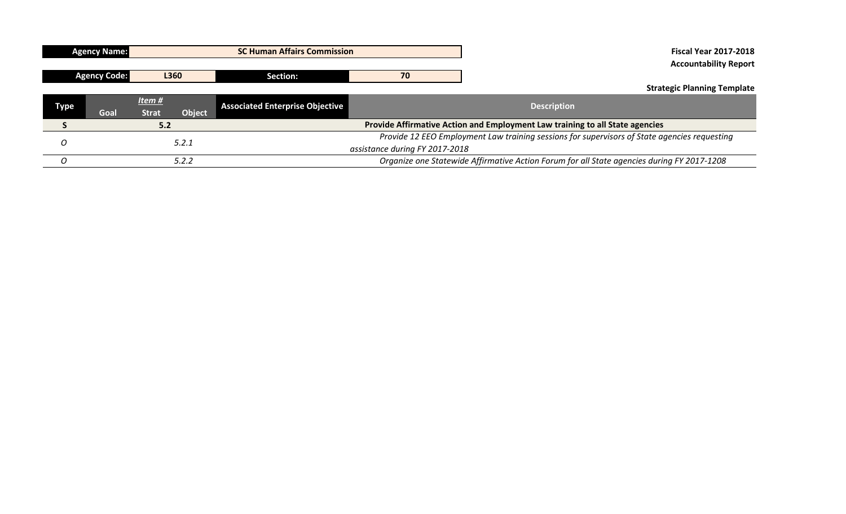|             | <b>Agency Name:</b>         |                                |               | <b>SC Human Affairs Commission</b>     |                                                                                              | <b>Fiscal Year 2017-2018</b>                                                 |  |
|-------------|-----------------------------|--------------------------------|---------------|----------------------------------------|----------------------------------------------------------------------------------------------|------------------------------------------------------------------------------|--|
|             |                             |                                |               |                                        |                                                                                              | <b>Accountability Report</b>                                                 |  |
|             | <b>Agency Code:</b><br>L360 |                                | Section:      | 70                                     |                                                                                              |                                                                              |  |
|             |                             |                                |               |                                        |                                                                                              | <b>Strategic Planning Template</b>                                           |  |
|             |                             | Item $#$                       |               | <b>Associated Enterprise Objective</b> |                                                                                              | <b>Description</b>                                                           |  |
| <b>Type</b> | Goal                        | <b>Strat</b>                   | <b>Object</b> |                                        |                                                                                              |                                                                              |  |
|             |                             | 5.2                            |               |                                        |                                                                                              | Provide Affirmative Action and Employment Law training to all State agencies |  |
|             |                             |                                |               |                                        | Provide 12 EEO Employment Law training sessions for supervisors of State agencies requesting |                                                                              |  |
| 5.2.1       |                             | assistance during FY 2017-2018 |               |                                        |                                                                                              |                                                                              |  |
|             | 5.2.2                       |                                |               |                                        | Organize one Statewide Affirmative Action Forum for all State agencies during FY 2017-1208   |                                                                              |  |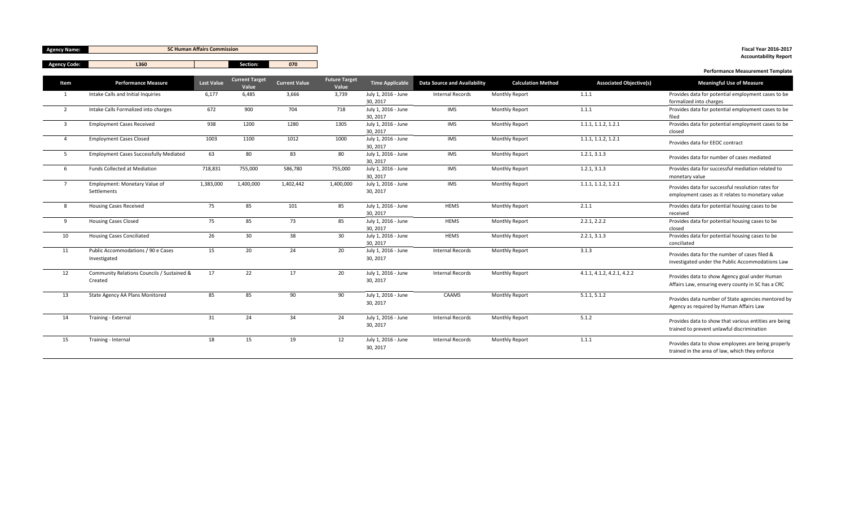| <b>Agency Name:</b>     | <b>SC Human Affairs Commission</b>                    |                   |                                |                      |                               |                                 |                              | <b>Fiscal Year 2016-2017</b><br><b>Accountability Report</b> |                                |                                                                                                       |
|-------------------------|-------------------------------------------------------|-------------------|--------------------------------|----------------------|-------------------------------|---------------------------------|------------------------------|--------------------------------------------------------------|--------------------------------|-------------------------------------------------------------------------------------------------------|
| <b>Agency Code:</b>     | L360                                                  |                   | Section:                       | 070                  |                               |                                 |                              |                                                              |                                |                                                                                                       |
| Item                    | <b>Performance Measure</b>                            | <b>Last Value</b> | <b>Current Target</b><br>Value | <b>Current Value</b> | <b>Future Target</b><br>Value | Time Applicable                 | Data Source and Availability | <b>Calculation Method</b>                                    | <b>Associated Objective(s)</b> | <b>Performance Measurement Template</b><br><b>Meaningful Use of Measure</b>                           |
| 1                       | Intake Calls and Initial Inquiries                    | 6,177             | 6,485                          | 3.666                | 3,739                         | July 1, 2016 - June<br>30, 2017 | <b>Internal Records</b>      | Monthly Report                                               | 1.1.1                          | Provides data for potential employment cases to be<br>formalized into charges                         |
| $\overline{2}$          | Intake Calls Formalized into charges                  | 672               | 900                            | 704                  | 718                           | July 1, 2016 - June<br>30, 2017 | IMS                          | <b>Monthly Report</b>                                        | 1.1.1                          | Provides data for potential employment cases to be<br>filed                                           |
| $\overline{\mathbf{3}}$ | <b>Employment Cases Received</b>                      | 938               | 1200                           | 1280                 | 1305                          | July 1, 2016 - June<br>30, 2017 | IMS                          | Monthly Report                                               | 1.1.1, 1.1.2, 1.2.1            | Provides data for potential employment cases to be<br>closed                                          |
| $\overline{4}$          | <b>Employment Cases Closed</b>                        | 1003              | 1100                           | 1012                 | 1000                          | July 1, 2016 - June<br>30, 2017 | IMS                          | Monthly Report                                               | 1.1.1, 1.1.2, 1.2.1            | Provides data for EEOC contract                                                                       |
| 5                       | <b>Employment Cases Successfully Mediated</b>         | 63                | 80                             | 83                   | 80                            | July 1, 2016 - June<br>30.2017  | IMS                          | Monthly Report                                               | 1.2.1, 3.1.3                   | Provides data for number of cases mediated                                                            |
| 6                       | <b>Funds Collected at Mediation</b>                   | 718,831           | 755,000                        | 586,780              | 755,000                       | July 1, 2016 - June<br>30, 2017 | <b>IMS</b>                   | Monthly Report                                               | 1.2.1, 3.1.3                   | Provides data for successful mediation related to<br>monetary value                                   |
| $\overline{7}$          | Employment: Monetary Value of<br>Settlements          | 1,383,000         | 1,400,000                      | 1,402,442            | 1,400,000                     | July 1, 2016 - June<br>30, 2017 | IMS                          | <b>Monthly Report</b>                                        | 1.1.1, 1.1.2, 1.2.1            | Provides data for successful resolution rates for<br>employment cases as it relates to monetary value |
| 8                       | <b>Housing Cases Received</b>                         | 75                | 85                             | 101                  | 85                            | July 1, 2016 - June<br>30, 2017 | <b>HEMS</b>                  | Monthly Report                                               | 2.1.1                          | Provides data for potential housing cases to be<br>received                                           |
| 9                       | <b>Housing Cases Closed</b>                           | 75                | 85                             | 73                   | 85                            | July 1, 2016 - June<br>30, 2017 | <b>HEMS</b>                  | Monthly Report                                               | 2.2.1, 2.2.2                   | Provides data for potential housing cases to be<br>closed                                             |
| 10                      | <b>Housing Cases Conciliated</b>                      | 26                | 30                             | 38                   | 30                            | July 1, 2016 - June<br>30, 2017 | <b>HEMS</b>                  | Monthly Report                                               | 2.2.1, 3.1.3                   | Provides data for potential housing cases to be<br>conciliated                                        |
| 11                      | Public Accommodations / 90 e Cases<br>Investigated    | 15                | 20                             | 24                   | 20                            | July 1, 2016 - June<br>30.2017  | <b>Internal Records</b>      | <b>Monthly Report</b>                                        | 3.1.3                          | Provides data for the number of cases filed &<br>investigated under the Public Accommodations Law     |
| 12                      | Community Relations Councils / Sustained &<br>Created | 17                | 22                             | 17                   | 20                            | July 1, 2016 - June<br>30, 2017 | <b>Internal Records</b>      | Monthly Report                                               | 4.1.1, 4.1.2, 4.2.1, 4.2.2     | Provides data to show Agency goal under Human<br>Affairs Law, ensuring every county in SC has a CRC   |
| 13                      | State Agency AA Plans Monitored                       | 85                | 85                             | 90                   | 90                            | July 1, 2016 - June<br>30, 2017 | CAAMS                        | <b>Monthly Report</b>                                        | 5.1.1, 5.1.2                   | Provides data number of State agencies mentored by<br>Agency as required by Human Affairs Law         |
| 14                      | Training - External                                   | 31                | 24                             | 34                   | 24                            | July 1, 2016 - June<br>30, 2017 | <b>Internal Records</b>      | <b>Monthly Report</b>                                        | 5.1.2                          | Provides data to show that various entities are being<br>trained to prevent unlawful discrimination   |
| 15                      | Training - Internal                                   | 18                | 15                             | 19                   | 12                            | July 1, 2016 - June<br>30, 2017 | <b>Internal Records</b>      | <b>Monthly Report</b>                                        | 1.1.1                          | Provides data to show employees are being properly<br>trained in the area of law, which they enforce  |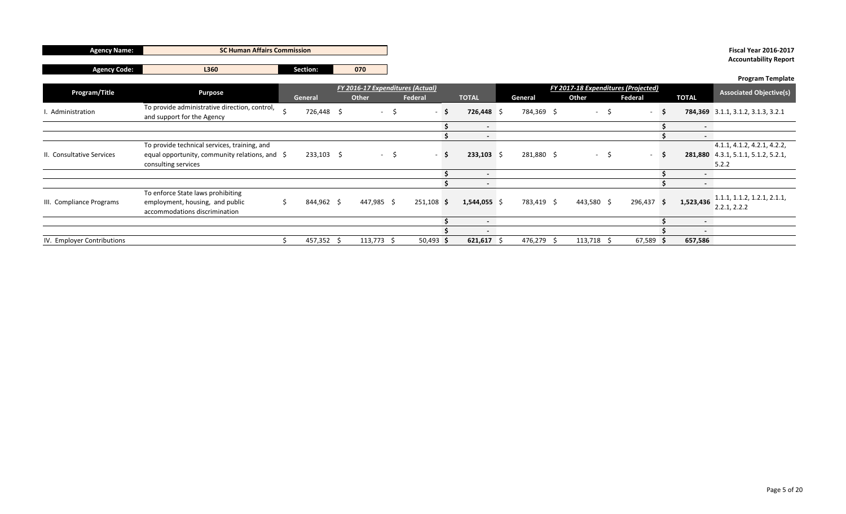| <b>Agency Name:</b>        | <b>SC Human Affairs Commission</b>                                                                    |  |              |                  |      |                                  |      |                  |                                     |            |         |                  |     |             |  | <b>Fiscal Year 2016-2017</b>   |                                             |
|----------------------------|-------------------------------------------------------------------------------------------------------|--|--------------|------------------|------|----------------------------------|------|------------------|-------------------------------------|------------|---------|------------------|-----|-------------|--|--------------------------------|---------------------------------------------|
|                            |                                                                                                       |  |              |                  |      |                                  |      |                  |                                     |            |         |                  |     |             |  |                                | <b>Accountability Report</b>                |
| <b>Agency Code:</b>        | L360                                                                                                  |  | Section:     | 070              |      |                                  |      |                  |                                     |            |         |                  |     |             |  |                                |                                             |
|                            |                                                                                                       |  |              |                  |      |                                  |      |                  |                                     |            |         |                  |     |             |  |                                | <b>Program Template</b>                     |
| Program/Title              |                                                                                                       |  |              |                  |      | FY 2016-17 Expenditures (Actual) |      |                  | FY 2017-18 Expenditures (Projected) |            |         |                  |     |             |  | <b>Associated Objective(s)</b> |                                             |
|                            | <b>Purpose</b>                                                                                        |  | General      | Other<br>Federal |      | <b>TOTAL</b>                     |      | Other<br>General |                                     |            | Federal | <b>TOTAL</b>     |     |             |  |                                |                                             |
| I. Administration          | To provide administrative direction, control,<br>and support for the Agency                           |  | 726,448 \$   | $\sim$ 10 $\sim$ | -S   |                                  | $-S$ | $726,448$ \$     |                                     | 784,369 \$ |         | $\sim$ 100 $\mu$ | -\$ | $\sim$      |  |                                | 784,369 3.1.1, 3.1.2, 3.1.3, 3.2.1          |
|                            |                                                                                                       |  |              |                  |      |                                  |      | $\sim$           |                                     |            |         |                  |     |             |  | $\sim$                         |                                             |
|                            |                                                                                                       |  |              |                  |      |                                  |      | $\sim$ $-$       |                                     |            |         |                  |     |             |  | $\sim$                         |                                             |
|                            | To provide technical services, training, and                                                          |  |              |                  |      |                                  |      |                  |                                     |            |         |                  |     |             |  |                                | 4.1.1, 4.1.2, 4.2.1, 4.2.2,                 |
| II. Consultative Services  | equal opportunity, community relations, and $\oint$                                                   |  | $233,103$ \$ |                  | $-5$ |                                  | - S  | $233,103$ \$     |                                     | 281,880 \$ |         | $-5$             |     | $\sim$      |  |                                | 281,880 4.3.1, 5.1.1, 5.1.2, 5.2.1,         |
|                            | consulting services                                                                                   |  |              |                  |      |                                  |      |                  |                                     |            |         |                  |     |             |  |                                | 5.2.2                                       |
|                            |                                                                                                       |  |              |                  |      |                                  |      | $\sim$           |                                     |            |         |                  |     |             |  | $\sim$                         |                                             |
|                            |                                                                                                       |  |              |                  |      |                                  |      | $\sim$ $-$       |                                     |            |         |                  |     |             |  | $\sim$                         |                                             |
| III. Compliance Programs   | To enforce State laws prohibiting<br>employment, housing, and public<br>accommodations discrimination |  | 844,962 \$   | 447,985 \$       |      | $251,108$ \$                     |      | $1,544,055$ \$   |                                     | 783,419 \$ |         | 443,580 \$       |     | 296,437 \$  |  | 1,523,436                      | 1.1.1, 1.1.2, 1.2.1, 2.1.1,<br>2.2.1, 2.2.2 |
|                            |                                                                                                       |  |              |                  |      |                                  |      | $\sim$           |                                     |            |         |                  |     |             |  | $\sim$                         |                                             |
|                            |                                                                                                       |  |              |                  |      |                                  |      | $\sim$           |                                     |            |         |                  |     |             |  | $\sim$                         |                                             |
| IV. Employer Contributions |                                                                                                       |  | 457,352 \$   | $113,773$ \$     |      | $50,493$ \$                      |      | $621,617$ \$     |                                     | 476,279 \$ |         | $113,718$ \$     |     | $67,589$ \$ |  | 657,586                        |                                             |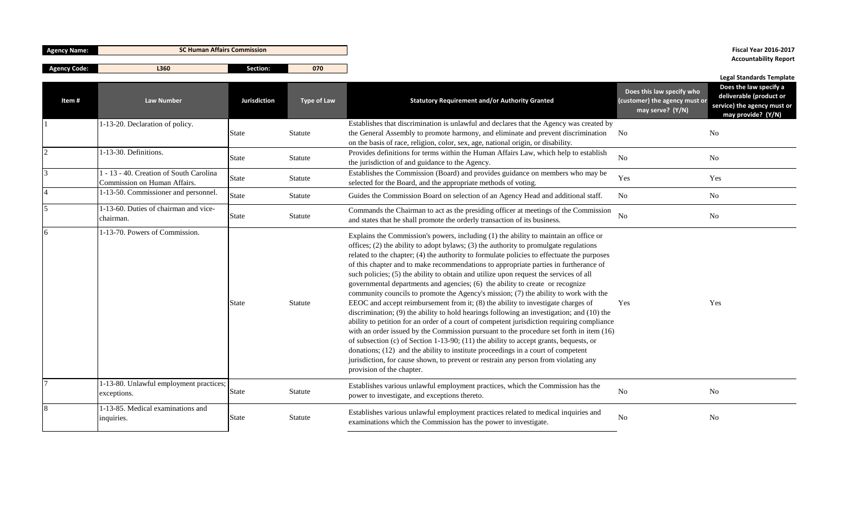| <b>Agency Name:</b> | <b>SC Human Affairs Commission</b>                                      |                     |                    |                                                                                                                                                                                                                                                                                                                                                                                                                                                                                                                                                                                                                                                                                                                                                                                                                                                                                                                                                                                                                                                                                                                                                                                                                                                                                                                  |                                                                                | <b>Fiscal Year 2016-2017</b>                                                                                                              |
|---------------------|-------------------------------------------------------------------------|---------------------|--------------------|------------------------------------------------------------------------------------------------------------------------------------------------------------------------------------------------------------------------------------------------------------------------------------------------------------------------------------------------------------------------------------------------------------------------------------------------------------------------------------------------------------------------------------------------------------------------------------------------------------------------------------------------------------------------------------------------------------------------------------------------------------------------------------------------------------------------------------------------------------------------------------------------------------------------------------------------------------------------------------------------------------------------------------------------------------------------------------------------------------------------------------------------------------------------------------------------------------------------------------------------------------------------------------------------------------------|--------------------------------------------------------------------------------|-------------------------------------------------------------------------------------------------------------------------------------------|
| <b>Agency Code:</b> | L360                                                                    | Section:            | 070                |                                                                                                                                                                                                                                                                                                                                                                                                                                                                                                                                                                                                                                                                                                                                                                                                                                                                                                                                                                                                                                                                                                                                                                                                                                                                                                                  |                                                                                | <b>Accountability Report</b>                                                                                                              |
| Item#               | <b>Law Number</b>                                                       | <b>Jurisdiction</b> | <b>Type of Law</b> | <b>Statutory Requirement and/or Authority Granted</b>                                                                                                                                                                                                                                                                                                                                                                                                                                                                                                                                                                                                                                                                                                                                                                                                                                                                                                                                                                                                                                                                                                                                                                                                                                                            | Does this law specify who<br>(customer) the agency must or<br>may serve? (Y/N) | <b>Legal Standards Template</b><br>Does the law specify a<br>deliverable (product or<br>service) the agency must or<br>may provide? (Y/N) |
|                     | 1-13-20. Declaration of policy.                                         | <b>State</b>        | Statute            | Establishes that discrimination is unlawful and declares that the Agency was created by<br>the General Assembly to promote harmony, and eliminate and prevent discrimination<br>on the basis of race, religion, color, sex, age, national origin, or disability.                                                                                                                                                                                                                                                                                                                                                                                                                                                                                                                                                                                                                                                                                                                                                                                                                                                                                                                                                                                                                                                 | N <sub>0</sub>                                                                 | N <sub>o</sub>                                                                                                                            |
| 2                   | 1-13-30. Definitions.                                                   | State               | <b>Statute</b>     | Provides definitions for terms within the Human Affairs Law, which help to establish<br>the jurisdiction of and guidance to the Agency.                                                                                                                                                                                                                                                                                                                                                                                                                                                                                                                                                                                                                                                                                                                                                                                                                                                                                                                                                                                                                                                                                                                                                                          | No                                                                             | <b>No</b>                                                                                                                                 |
| $\mathcal{L}$       | 1 - 13 - 40. Creation of South Carolina<br>Commission on Human Affairs. | State               | Statute            | Establishes the Commission (Board) and provides guidance on members who may be<br>selected for the Board, and the appropriate methods of voting.                                                                                                                                                                                                                                                                                                                                                                                                                                                                                                                                                                                                                                                                                                                                                                                                                                                                                                                                                                                                                                                                                                                                                                 | Yes                                                                            | Yes                                                                                                                                       |
|                     | 1-13-50. Commissioner and personnel.                                    | <b>State</b>        | Statute            | Guides the Commission Board on selection of an Agency Head and additional staff.                                                                                                                                                                                                                                                                                                                                                                                                                                                                                                                                                                                                                                                                                                                                                                                                                                                                                                                                                                                                                                                                                                                                                                                                                                 | N <sub>0</sub>                                                                 | No                                                                                                                                        |
| 5                   | 1-13-60. Duties of chairman and vice-<br>chairman.                      | <b>State</b>        | <b>Statute</b>     | Commands the Chairman to act as the presiding officer at meetings of the Commission<br>and states that he shall promote the orderly transaction of its business.                                                                                                                                                                                                                                                                                                                                                                                                                                                                                                                                                                                                                                                                                                                                                                                                                                                                                                                                                                                                                                                                                                                                                 | No                                                                             | No                                                                                                                                        |
| 6                   | 1-13-70. Powers of Commission.                                          | <b>State</b>        | <b>Statute</b>     | Explains the Commission's powers, including (1) the ability to maintain an office or<br>offices; (2) the ability to adopt bylaws; (3) the authority to promulgate regulations<br>related to the chapter; (4) the authority to formulate policies to effectuate the purposes<br>of this chapter and to make recommendations to appropriate parties in furtherance of<br>such policies; (5) the ability to obtain and utilize upon request the services of all<br>governmental departments and agencies; (6) the ability to create or recognize<br>community councils to promote the Agency's mission; (7) the ability to work with the<br>EEOC and accept reimbursement from it; (8) the ability to investigate charges of<br>discrimination; (9) the ability to hold hearings following an investigation; and (10) the<br>ability to petition for an order of a court of competent jurisdiction requiring compliance<br>with an order issued by the Commission pursuant to the procedure set forth in item (16)<br>of subsection (c) of Section 1-13-90; (11) the ability to accept grants, bequests, or<br>donations; (12) and the ability to institute proceedings in a court of competent<br>jurisdiction, for cause shown, to prevent or restrain any person from violating any<br>provision of the chapter. | Yes                                                                            | Yes                                                                                                                                       |
|                     | 1-13-80. Unlawful employment practices;<br>exceptions.                  | State               | Statute            | Establishes various unlawful employment practices, which the Commission has the<br>power to investigate, and exceptions thereto.                                                                                                                                                                                                                                                                                                                                                                                                                                                                                                                                                                                                                                                                                                                                                                                                                                                                                                                                                                                                                                                                                                                                                                                 | <b>No</b>                                                                      | No                                                                                                                                        |
| 8                   | 1-13-85. Medical examinations and<br>inquiries.                         | <b>State</b>        | Statute            | Establishes various unlawful employment practices related to medical inquiries and<br>examinations which the Commission has the power to investigate.                                                                                                                                                                                                                                                                                                                                                                                                                                                                                                                                                                                                                                                                                                                                                                                                                                                                                                                                                                                                                                                                                                                                                            | No                                                                             | N <sub>o</sub>                                                                                                                            |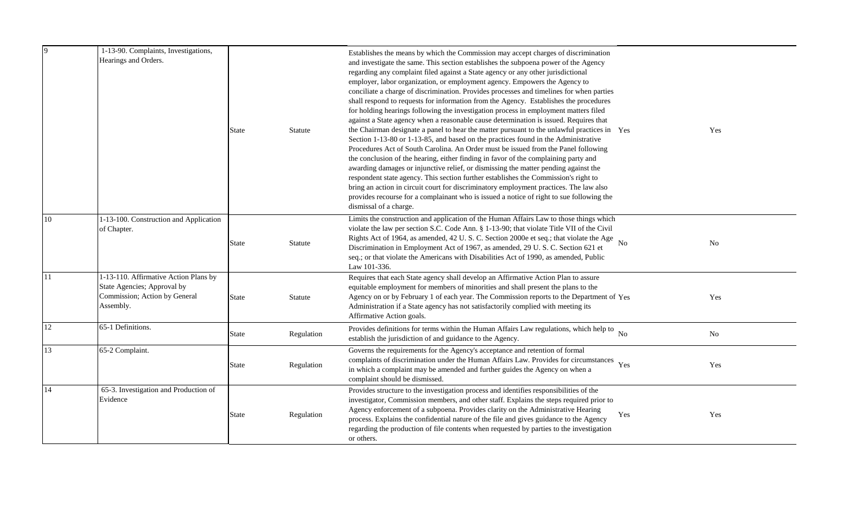| Hearings and Orders.                                                                                               | <b>State</b>                         | <b>Statute</b> | and investigate the same. This section establishes the subpoena power of the Agency<br>regarding any complaint filed against a State agency or any other jurisdictional<br>employer, labor organization, or employment agency. Empowers the Agency to<br>conciliate a charge of discrimination. Provides processes and timelines for when parties<br>shall respond to requests for information from the Agency. Establishes the procedures<br>for holding hearings following the investigation process in employment matters filed<br>against a State agency when a reasonable cause determination is issued. Requires that<br>the Chairman designate a panel to hear the matter pursuant to the unlawful practices in Yes<br>Section 1-13-80 or 1-13-85, and based on the practices found in the Administrative<br>Procedures Act of South Carolina. An Order must be issued from the Panel following<br>the conclusion of the hearing, either finding in favor of the complaining party and<br>awarding damages or injunctive relief, or dismissing the matter pending against the<br>respondent state agency. This section further establishes the Commission's right to<br>bring an action in circuit court for discriminatory employment practices. The law also<br>provides recourse for a complainant who is issued a notice of right to sue following the<br>dismissal of a charge. | Yes                                                                                                                                                                                         |
|--------------------------------------------------------------------------------------------------------------------|--------------------------------------|----------------|---------------------------------------------------------------------------------------------------------------------------------------------------------------------------------------------------------------------------------------------------------------------------------------------------------------------------------------------------------------------------------------------------------------------------------------------------------------------------------------------------------------------------------------------------------------------------------------------------------------------------------------------------------------------------------------------------------------------------------------------------------------------------------------------------------------------------------------------------------------------------------------------------------------------------------------------------------------------------------------------------------------------------------------------------------------------------------------------------------------------------------------------------------------------------------------------------------------------------------------------------------------------------------------------------------------------------------------------------------------------------------------------|---------------------------------------------------------------------------------------------------------------------------------------------------------------------------------------------|
| 1-13-100. Construction and Application<br>of Chapter.                                                              | <b>State</b>                         | Statute        | Limits the construction and application of the Human Affairs Law to those things which<br>violate the law per section S.C. Code Ann. § 1-13-90; that violate Title VII of the Civil<br>Rights Act of 1964, as amended, 42 U.S.C. Section 2000e et seq.; that violate the Age<br><b>No</b><br>Discrimination in Employment Act of 1967, as amended, 29 U.S.C. Section 621 et<br>seq.; or that violate the Americans with Disabilities Act of 1990, as amended, Public<br>Law 101-336.                                                                                                                                                                                                                                                                                                                                                                                                                                                                                                                                                                                                                                                                                                                                                                                                                                                                                                        | No                                                                                                                                                                                          |
| 1-13-110. Affirmative Action Plans by<br>State Agencies; Approval by<br>Commission; Action by General<br>Assembly. | <b>State</b>                         | Statute        | Requires that each State agency shall develop an Affirmative Action Plan to assure<br>equitable employment for members of minorities and shall present the plans to the<br>Agency on or by February 1 of each year. The Commission reports to the Department of Yes<br>Administration if a State agency has not satisfactorily complied with meeting its<br>Affirmative Action goals.                                                                                                                                                                                                                                                                                                                                                                                                                                                                                                                                                                                                                                                                                                                                                                                                                                                                                                                                                                                                       | Yes                                                                                                                                                                                         |
| 65-1 Definitions.                                                                                                  | <b>State</b>                         | Regulation     | establish the jurisdiction of and guidance to the Agency.                                                                                                                                                                                                                                                                                                                                                                                                                                                                                                                                                                                                                                                                                                                                                                                                                                                                                                                                                                                                                                                                                                                                                                                                                                                                                                                                   | $\rm No$                                                                                                                                                                                    |
| 65-2 Complaint.                                                                                                    | <b>State</b>                         | Regulation     | Governs the requirements for the Agency's acceptance and retention of formal<br>complaints of discrimination under the Human Affairs Law. Provides for circumstances Yes<br>in which a complaint may be amended and further guides the Agency on when a<br>complaint should be dismissed.                                                                                                                                                                                                                                                                                                                                                                                                                                                                                                                                                                                                                                                                                                                                                                                                                                                                                                                                                                                                                                                                                                   | Yes                                                                                                                                                                                         |
| 65-3. Investigation and Production of<br>Evidence                                                                  | <b>State</b>                         | Regulation     | Provides structure to the investigation process and identifies responsibilities of the<br>investigator, Commission members, and other staff. Explains the steps required prior to<br>Agency enforcement of a subpoena. Provides clarity on the Administrative Hearing<br>Yes<br>process. Explains the confidential nature of the file and gives guidance to the Agency<br>regarding the production of file contents when requested by parties to the investigation<br>or others.                                                                                                                                                                                                                                                                                                                                                                                                                                                                                                                                                                                                                                                                                                                                                                                                                                                                                                            | Yes                                                                                                                                                                                         |
|                                                                                                                    | 1-13-90. Complaints, Investigations, |                |                                                                                                                                                                                                                                                                                                                                                                                                                                                                                                                                                                                                                                                                                                                                                                                                                                                                                                                                                                                                                                                                                                                                                                                                                                                                                                                                                                                             | Establishes the means by which the Commission may accept charges of discrimination<br>Provides definitions for terms within the Human Affairs Law regulations, which help to $_{\text{No}}$ |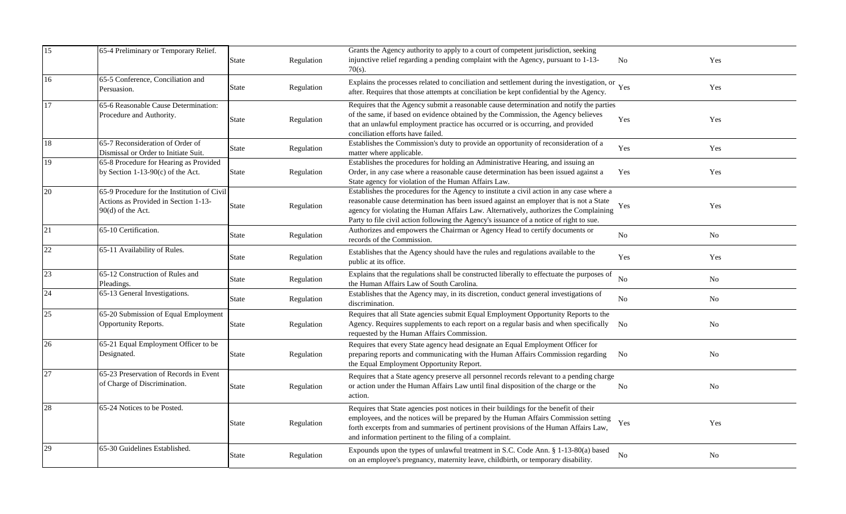| 15     | 65-4 Preliminary or Temporary Relief.                                                                      | State        | Regulation | Grants the Agency authority to apply to a court of competent jurisdiction, seeking<br>injunctive relief regarding a pending complaint with the Agency, pursuant to 1-13-<br>$70(s)$ .                                                                                                                                                                                   | No             | Yes            |
|--------|------------------------------------------------------------------------------------------------------------|--------------|------------|-------------------------------------------------------------------------------------------------------------------------------------------------------------------------------------------------------------------------------------------------------------------------------------------------------------------------------------------------------------------------|----------------|----------------|
| 16     | 65-5 Conference, Conciliation and<br>Persuasion.                                                           | State        | Regulation | Explains the processes related to conciliation and settlement during the investigation, or Yes<br>after. Requires that those attempts at conciliation be kept confidential by the Agency.                                                                                                                                                                               |                | Yes            |
| 17     | 65-6 Reasonable Cause Determination:<br>Procedure and Authority.                                           | <b>State</b> | Regulation | Requires that the Agency submit a reasonable cause determination and notify the parties<br>of the same, if based on evidence obtained by the Commission, the Agency believes<br>that an unlawful employment practice has occurred or is occurring, and provided<br>conciliation efforts have failed.                                                                    | Yes            | Yes            |
| 18     | 65-7 Reconsideration of Order of<br>Dismissal or Order to Initiate Suit.                                   | State        | Regulation | Establishes the Commission's duty to provide an opportunity of reconsideration of a<br>matter where applicable.                                                                                                                                                                                                                                                         | Yes            | Yes            |
| 19     | 65-8 Procedure for Hearing as Provided<br>by Section 1-13-90 $(c)$ of the Act.                             | <b>State</b> | Regulation | Establishes the procedures for holding an Administrative Hearing, and issuing an<br>Order, in any case where a reasonable cause determination has been issued against a<br>State agency for violation of the Human Affairs Law.                                                                                                                                         | Yes            | Yes            |
| 20     | $65-9$ Procedure for the Institution of Civil<br>Actions as Provided in Section 1-13-<br>90(d) of the Act. | State        | Regulation | Establishes the procedures for the Agency to institute a civil action in any case where a<br>reasonable cause determination has been issued against an employer that is not a State<br>agency for violating the Human Affairs Law. Alternatively, authorizes the Complaining<br>Party to file civil action following the Agency's issuance of a notice of right to sue. | Yes            | Yes            |
| 21     | 65-10 Certification.                                                                                       | State        | Regulation | Authorizes and empowers the Chairman or Agency Head to certify documents or<br>records of the Commission.                                                                                                                                                                                                                                                               | No             | No             |
| $22\,$ | 65-11 Availability of Rules.                                                                               | <b>State</b> | Regulation | Establishes that the Agency should have the rules and regulations available to the<br>public at its office.                                                                                                                                                                                                                                                             | Yes            | Yes            |
| 23     | 65-12 Construction of Rules and<br>Pleadings.                                                              | <b>State</b> | Regulation | Explains that the regulations shall be constructed liberally to effectuate the purposes of<br>the Human Affairs Law of South Carolina.                                                                                                                                                                                                                                  | N <sub>o</sub> | No             |
| 24     | 65-13 General Investigations.                                                                              | <b>State</b> | Regulation | Establishes that the Agency may, in its discretion, conduct general investigations of<br>discrimination.                                                                                                                                                                                                                                                                | No             | No             |
| 25     | 65-20 Submission of Equal Employment<br>Opportunity Reports.                                               | <b>State</b> | Regulation | Requires that all State agencies submit Equal Employment Opportunity Reports to the<br>Agency. Requires supplements to each report on a regular basis and when specifically No<br>requested by the Human Affairs Commission.                                                                                                                                            |                | No             |
| 26     | 65-21 Equal Employment Officer to be<br>Designated.                                                        | <b>State</b> | Regulation | Requires that every State agency head designate an Equal Employment Officer for<br>preparing reports and communicating with the Human Affairs Commission regarding<br>the Equal Employment Opportunity Report.                                                                                                                                                          | N <sub>0</sub> | No             |
| 27     | 65-23 Preservation of Records in Event<br>of Charge of Discrimination.                                     | <b>State</b> | Regulation | Requires that a State agency preserve all personnel records relevant to a pending charge<br>or action under the Human Affairs Law until final disposition of the charge or the<br>action.                                                                                                                                                                               | No             | No             |
| 28     | 65-24 Notices to be Posted.                                                                                | State        | Regulation | Requires that State agencies post notices in their buildings for the benefit of their<br>employees, and the notices will be prepared by the Human Affairs Commission setting<br>forth excerpts from and summaries of pertinent provisions of the Human Affairs Law,<br>and information pertinent to the filing of a complaint.                                          | Yes            | Yes            |
| 29     | 65-30 Guidelines Established.                                                                              | <b>State</b> | Regulation | Expounds upon the types of unlawful treatment in S.C. Code Ann. § 1-13-80(a) based<br>on an employee's pregnancy, maternity leave, childbirth, or temporary disability.                                                                                                                                                                                                 | N <sub>0</sub> | N <sub>o</sub> |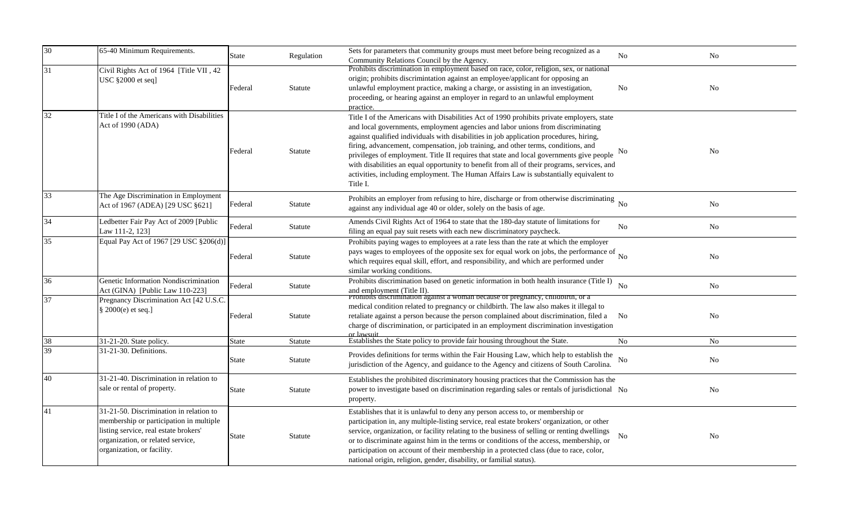| $\overline{30}$ | 65-40 Minimum Requirements.                                                                                                                                                                    | State        | Regulation | Sets for parameters that community groups must meet before being recognized as a<br>Community Relations Council by the Agency.                                                                                                                                                                                                                                                                                                                                                                                                                                                                                                                               | No                 | $\rm No$       |
|-----------------|------------------------------------------------------------------------------------------------------------------------------------------------------------------------------------------------|--------------|------------|--------------------------------------------------------------------------------------------------------------------------------------------------------------------------------------------------------------------------------------------------------------------------------------------------------------------------------------------------------------------------------------------------------------------------------------------------------------------------------------------------------------------------------------------------------------------------------------------------------------------------------------------------------------|--------------------|----------------|
| 31              | Civil Rights Act of 1964 [Title VII, 42]<br>USC §2000 et seq]                                                                                                                                  | Federal      | Statute    | Prohibits discrimination in employment based on race, color, religion, sex, or national<br>origin; prohibits discrimintation against an employee/applicant for opposing an<br>unlawful employment practice, making a charge, or assisting in an investigation,<br>proceeding, or hearing against an employer in regard to an unlawful employment<br>practice.                                                                                                                                                                                                                                                                                                | No                 | No             |
| 32              | Title I of the Americans with Disabilities<br>Act of 1990 (ADA)                                                                                                                                | Federal      | Statute    | Title I of the Americans with Disabilities Act of 1990 prohibits private employers, state<br>and local governments, employment agencies and labor unions from discriminating<br>against qualified individuals with disabilities in job application procedures, hiring,<br>firing, advancement, compensation, job training, and other terms, conditions, and<br>privileges of employment. Title II requires that state and local governments give people<br>with disabilities an equal opportunity to benefit from all of their programs, services, and<br>activities, including employment. The Human Affairs Law is substantially equivalent to<br>Title I. | N <sub>0</sub>     | No             |
| 33              | The Age Discrimination in Employment<br>Act of 1967 (ADEA) [29 USC §621]                                                                                                                       | Federal      | Statute    | Prohibits an employer from refusing to hire, discharge or from otherwise discriminating No<br>against any individual age 40 or older, solely on the basis of age.                                                                                                                                                                                                                                                                                                                                                                                                                                                                                            |                    | No             |
| 34              | Ledbetter Fair Pay Act of 2009 [Public<br>Law 111-2, 123]                                                                                                                                      | Federal      | Statute    | Amends Civil Rights Act of 1964 to state that the 180-day statute of limitations for<br>filing an equal pay suit resets with each new discriminatory paycheck.                                                                                                                                                                                                                                                                                                                                                                                                                                                                                               | No                 | $\rm No$       |
| 35              | Equal Pay Act of 1967 [29 USC §206(d)]                                                                                                                                                         | Federal      | Statute    | Prohibits paying wages to employees at a rate less than the rate at which the employer<br>pays wages to employees of the opposite sex for equal work on jobs, the performance of $\overline{N_0}$<br>which requires equal skill, effort, and responsibility, and which are performed under<br>similar working conditions.                                                                                                                                                                                                                                                                                                                                    |                    | N <sub>0</sub> |
| 36              | Genetic Information Nondiscrimination<br>Act (GINA) [Public Law 110-223]                                                                                                                       | Federal      | Statute    | Prohibits discrimination based on genetic information in both health insurance (Title I)<br>and employment (Title II).                                                                                                                                                                                                                                                                                                                                                                                                                                                                                                                                       | <b>No</b>          | No             |
| 37              | Pregnancy Discrimination Act [42 U.S.C.<br>§ 2000(e) et seq.]                                                                                                                                  | Federal      | Statute    | Promotts discrimination against a woman because of pregnancy, childbirth, or a<br>medical condition related to pregnancy or childbirth. The law also makes it illegal to<br>retaliate against a person because the person complained about discrimination, filed a No<br>charge of discrimination, or participated in an employment discrimination investigation<br>or lawsuit                                                                                                                                                                                                                                                                               |                    | No             |
| 38              | 31-21-20. State policy.                                                                                                                                                                        | <b>State</b> | Statute    | Establishes the State policy to provide fair housing throughout the State.                                                                                                                                                                                                                                                                                                                                                                                                                                                                                                                                                                                   | No                 | No.            |
| 39              | 31-21-30. Definitions.                                                                                                                                                                         | <b>State</b> | Statute    | Provides definitions for terms within the Fair Housing Law, which help to establish the<br>jurisdiction of the Agency, and guidance to the Agency and citizens of South Carolina.                                                                                                                                                                                                                                                                                                                                                                                                                                                                            | $\overline{N_{0}}$ | No             |
| 40              | 31-21-40. Discrimination in relation to<br>sale or rental of property.                                                                                                                         | <b>State</b> | Statute    | Establishes the prohibited discriminatory housing practices that the Commission has the<br>power to investigate based on discrimination regarding sales or rentals of jurisdictional No<br>property.                                                                                                                                                                                                                                                                                                                                                                                                                                                         |                    | No             |
| 41              | 31-21-50. Discrimination in relation to<br>membership or participation in multiple<br>listing service, real estate brokers'<br>organization, or related service,<br>organization, or facility. | <b>State</b> | Statute    | Establishes that it is unlawful to deny any person access to, or membership or<br>participation in, any multiple-listing service, real estate brokers' organization, or other<br>service, organization, or facility relating to the business of selling or renting dwellings<br>or to discriminate against him in the terms or conditions of the access, membership, or<br>participation on account of their membership in a protected class (due to race, color,<br>national origin, religion, gender, disability, or familial status).                                                                                                                     | No.                | No             |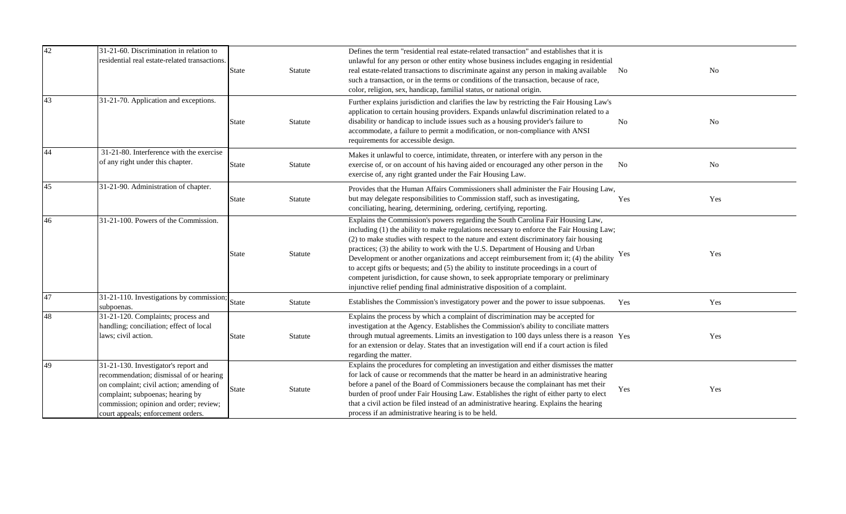| 42 | 31-21-60. Discrimination in relation to<br>residential real estate-related transactions.                                                                                                                                                       | <b>State</b> | Statute        | Defines the term "residential real estate-related transaction" and establishes that it is<br>unlawful for any person or other entity whose business includes engaging in residential<br>real estate-related transactions to discriminate against any person in making available No<br>such a transaction, or in the terms or conditions of the transaction, because of race,<br>color, religion, sex, handicap, familial status, or national origin.                                                                                                                                                                                                                                                                 |     | No  |
|----|------------------------------------------------------------------------------------------------------------------------------------------------------------------------------------------------------------------------------------------------|--------------|----------------|----------------------------------------------------------------------------------------------------------------------------------------------------------------------------------------------------------------------------------------------------------------------------------------------------------------------------------------------------------------------------------------------------------------------------------------------------------------------------------------------------------------------------------------------------------------------------------------------------------------------------------------------------------------------------------------------------------------------|-----|-----|
| 43 | 31-21-70. Application and exceptions.                                                                                                                                                                                                          | <b>State</b> | Statute        | Further explains jurisdiction and clarifies the law by restricting the Fair Housing Law's<br>application to certain housing providers. Expands unlawful discrimination related to a<br>disability or handicap to include issues such as a housing provider's failure to<br>accommodate, a failure to permit a modification, or non-compliance with ANSI<br>requirements for accessible design.                                                                                                                                                                                                                                                                                                                       | No  | No  |
| 44 | 31-21-80. Interference with the exercise<br>of any right under this chapter.                                                                                                                                                                   | <b>State</b> | Statute        | Makes it unlawful to coerce, intimidate, threaten, or interfere with any person in the<br>exercise of, or on account of his having aided or encouraged any other person in the<br>exercise of, any right granted under the Fair Housing Law.                                                                                                                                                                                                                                                                                                                                                                                                                                                                         | No  | No  |
| 45 | 31-21-90. Administration of chapter.                                                                                                                                                                                                           | <b>State</b> | Statute        | Provides that the Human Affairs Commissioners shall administer the Fair Housing Law,<br>but may delegate responsibilities to Commission staff, such as investigating,<br>conciliating, hearing, determining, ordering, certifying, reporting.                                                                                                                                                                                                                                                                                                                                                                                                                                                                        | Yes | Yes |
| 46 | 31-21-100. Powers of the Commission.                                                                                                                                                                                                           | State        | Statute        | Explains the Commission's powers regarding the South Carolina Fair Housing Law,<br>including (1) the ability to make regulations necessary to enforce the Fair Housing Law;<br>(2) to make studies with respect to the nature and extent discriminatory fair housing<br>practices; (3) the ability to work with the U.S. Department of Housing and Urban<br>Development or another organizations and accept reimbursement from it; (4) the ability<br>to accept gifts or bequests; and (5) the ability to institute proceedings in a court of<br>competent jurisdiction, for cause shown, to seek appropriate temporary or preliminary<br>injunctive relief pending final administrative disposition of a complaint. | Yes | Yes |
| 47 | 31-21-110. Investigations by commission;<br>subpoenas.                                                                                                                                                                                         | <b>State</b> | Statute        | Establishes the Commission's investigatory power and the power to issue subpoenas.                                                                                                                                                                                                                                                                                                                                                                                                                                                                                                                                                                                                                                   | Yes | Yes |
| 48 | 31-21-120. Complaints; process and<br>handling; conciliation; effect of local<br>laws; civil action.                                                                                                                                           | <b>State</b> | Statute        | Explains the process by which a complaint of discrimination may be accepted for<br>investigation at the Agency. Establishes the Commission's ability to conciliate matters<br>through mutual agreements. Limits an investigation to 100 days unless there is a reason Yes<br>for an extension or delay. States that an investigation will end if a court action is filed<br>regarding the matter.                                                                                                                                                                                                                                                                                                                    |     | Yes |
| 49 | 31-21-130. Investigator's report and<br>recommendation; dismissal of or hearing<br>on complaint; civil action; amending of<br>complaint; subpoenas; hearing by<br>commission; opinion and order; review;<br>court appeals; enforcement orders. | <b>State</b> | <b>Statute</b> | Explains the procedures for completing an investigation and either dismisses the matter<br>for lack of cause or recommends that the matter be heard in an administrative hearing<br>before a panel of the Board of Commissioners because the complainant has met their<br>burden of proof under Fair Housing Law. Establishes the right of either party to elect<br>that a civil action be filed instead of an administrative hearing. Explains the hearing<br>process if an administrative hearing is to be held.                                                                                                                                                                                                   | Yes | Yes |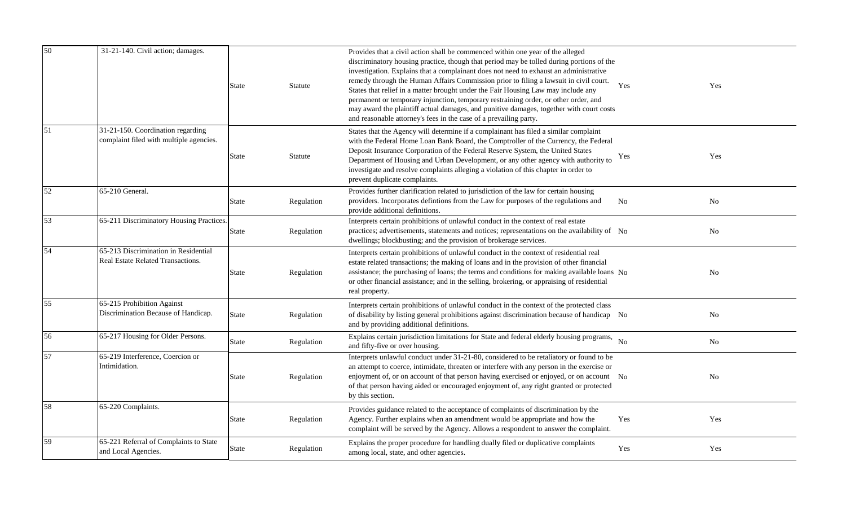| 50 | 31-21-140. Civil action; damages.                                            | State | Statute    | Provides that a civil action shall be commenced within one year of the alleged<br>discriminatory housing practice, though that period may be tolled during portions of the<br>investigation. Explains that a complainant does not need to exhaust an administrative<br>remedy through the Human Affairs Commission prior to filing a lawsuit in civil court.<br>States that relief in a matter brought under the Fair Housing Law may include any<br>permanent or temporary injunction, temporary restraining order, or other order, and<br>may award the plaintiff actual damages, and punitive damages, together with court costs<br>and reasonable attorney's fees in the case of a prevailing party. | Yes       | Yes            |
|----|------------------------------------------------------------------------------|-------|------------|----------------------------------------------------------------------------------------------------------------------------------------------------------------------------------------------------------------------------------------------------------------------------------------------------------------------------------------------------------------------------------------------------------------------------------------------------------------------------------------------------------------------------------------------------------------------------------------------------------------------------------------------------------------------------------------------------------|-----------|----------------|
| 51 | 31-21-150. Coordination regarding<br>complaint filed with multiple agencies. | State | Statute    | States that the Agency will determine if a complainant has filed a similar complaint<br>with the Federal Home Loan Bank Board, the Comptroller of the Currency, the Federal<br>Deposit Insurance Corporation of the Federal Reserve System, the United States<br>Department of Housing and Urban Development, or any other agency with authority to<br>investigate and resolve complaints alleging a violation of this chapter in order to<br>prevent duplicate complaints.                                                                                                                                                                                                                              | Yes       | Yes            |
| 52 | 65-210 General.                                                              | State | Regulation | Provides further clarification related to jurisdiction of the law for certain housing<br>providers. Incorporates defintions from the Law for purposes of the regulations and<br>provide additional definitions.                                                                                                                                                                                                                                                                                                                                                                                                                                                                                          | <b>No</b> | No             |
| 53 | 65-211 Discriminatory Housing Practices.                                     | State | Regulation | Interprets certain prohibitions of unlawful conduct in the context of real estate<br>practices; advertisements, statements and notices; representations on the availability of No<br>dwellings; blockbusting; and the provision of brokerage services.                                                                                                                                                                                                                                                                                                                                                                                                                                                   |           | No             |
| 54 | 65-213 Discrimination in Residential<br>Real Estate Related Transactions.    | State | Regulation | Interprets certain prohibitions of unlawful conduct in the context of residential real<br>estate related transactions; the making of loans and in the provision of other financial<br>assistance; the purchasing of loans; the terms and conditions for making available loans No<br>or other financial assistance; and in the selling, brokering, or appraising of residential<br>real property.                                                                                                                                                                                                                                                                                                        |           | No             |
| 55 | 65-215 Prohibition Against<br>Discrimination Because of Handicap.            | State | Regulation | Interprets certain prohibitions of unlawful conduct in the context of the protected class<br>of disability by listing general prohibitions against discrimination because of handicap No<br>and by providing additional definitions.                                                                                                                                                                                                                                                                                                                                                                                                                                                                     |           | N <sub>o</sub> |
| 56 | 65-217 Housing for Older Persons.                                            | State | Regulation | Explains certain jurisdiction limitations for State and federal elderly housing programs, No<br>and fifty-five or over housing.                                                                                                                                                                                                                                                                                                                                                                                                                                                                                                                                                                          |           | No             |
| 57 | $65-219$ Interference, Coercion or<br>Intimidation.                          | State | Regulation | Interprets unlawful conduct under 31-21-80, considered to be retaliatory or found to be<br>an attempt to coerce, intimidate, threaten or interfere with any person in the exercise or<br>enjoyment of, or on account of that person having exercised or enjoyed, or on account No<br>of that person having aided or encouraged enjoyment of, any right granted or protected<br>by this section.                                                                                                                                                                                                                                                                                                          |           | N <sub>0</sub> |
| 58 | 65-220 Complaints.                                                           | State | Regulation | Provides guidance related to the acceptance of complaints of discrimination by the<br>Agency. Further explains when an amendment would be appropriate and how the<br>complaint will be served by the Agency. Allows a respondent to answer the complaint.                                                                                                                                                                                                                                                                                                                                                                                                                                                | Yes       | Yes            |
| 59 | 65-221 Referral of Complaints to State<br>and Local Agencies.                | State | Regulation | Explains the proper procedure for handling dually filed or duplicative complaints<br>among local, state, and other agencies.                                                                                                                                                                                                                                                                                                                                                                                                                                                                                                                                                                             | Yes       | Yes            |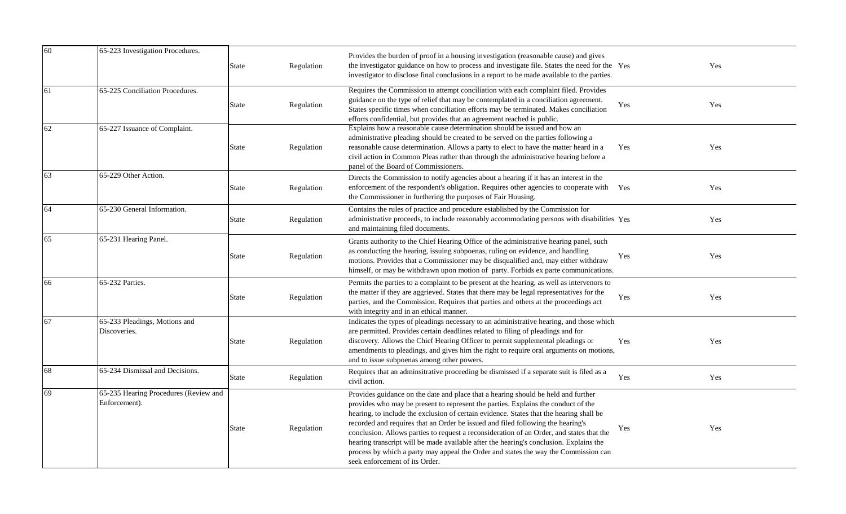| 60 | 65-223 Investigation Procedures.                       | <b>State</b> | Regulation | Provides the burden of proof in a housing investigation (reasonable cause) and gives<br>the investigator guidance on how to process and investigate file. States the need for the Yes<br>investigator to disclose final conclusions in a report to be made available to the parties.                                                                                                                                                                                                                                                                                                                                                                                |     | Yes |
|----|--------------------------------------------------------|--------------|------------|---------------------------------------------------------------------------------------------------------------------------------------------------------------------------------------------------------------------------------------------------------------------------------------------------------------------------------------------------------------------------------------------------------------------------------------------------------------------------------------------------------------------------------------------------------------------------------------------------------------------------------------------------------------------|-----|-----|
| 61 | 65-225 Conciliation Procedures.                        | <b>State</b> | Regulation | Requires the Commission to attempt conciliation with each complaint filed. Provides<br>guidance on the type of relief that may be contemplated in a conciliation agreement.<br>States specific times when conciliation efforts may be terminated. Makes conciliation<br>efforts confidential, but provides that an agreement reached is public.                                                                                                                                                                                                                                                                                                                     | Yes | Yes |
| 62 | 65-227 Issuance of Complaint.                          | State        | Regulation | Explains how a reasonable cause determination should be issued and how an<br>administrative pleading should be created to be served on the parties following a<br>reasonable cause determination. Allows a party to elect to have the matter heard in a<br>civil action in Common Pleas rather than through the administrative hearing before a<br>panel of the Board of Commissioners.                                                                                                                                                                                                                                                                             | Yes | Yes |
| 63 | 65-229 Other Action.                                   | State        | Regulation | Directs the Commission to notify agencies about a hearing if it has an interest in the<br>enforcement of the respondent's obligation. Requires other agencies to cooperate with Yes<br>the Commissioner in furthering the purposes of Fair Housing.                                                                                                                                                                                                                                                                                                                                                                                                                 |     | Yes |
| 64 | 65-230 General Information.                            | <b>State</b> | Regulation | Contains the rules of practice and procedure established by the Commission for<br>administrative proceeds, to include reasonably accommodating persons with disabilities Yes<br>and maintaining filed documents.                                                                                                                                                                                                                                                                                                                                                                                                                                                    |     | Yes |
| 65 | 65-231 Hearing Panel.                                  | State        | Regulation | Grants authority to the Chief Hearing Office of the administrative hearing panel, such<br>as conducting the hearing, issuing subpoenas, ruling on evidence, and handling<br>motions. Provides that a Commissioner may be disqualified and, may either withdraw<br>himself, or may be withdrawn upon motion of party. Forbids ex parte communications.                                                                                                                                                                                                                                                                                                               | Yes | Yes |
| 66 | 65-232 Parties.                                        | <b>State</b> | Regulation | Permits the parties to a complaint to be present at the hearing, as well as intervenors to<br>the matter if they are aggrieved. States that there may be legal representatives for the<br>parties, and the Commission. Requires that parties and others at the proceedings act<br>with integrity and in an ethical manner.                                                                                                                                                                                                                                                                                                                                          | Yes | Yes |
| 67 | 65-233 Pleadings, Motions and<br>Discoveries.          | State        | Regulation | Indicates the types of pleadings necessary to an administrative hearing, and those which<br>are permitted. Provides certain deadlines related to filing of pleadings and for<br>discovery. Allows the Chief Hearing Officer to permit supplemental pleadings or<br>amendments to pleadings, and gives him the right to require oral arguments on motions,<br>and to issue subpoenas among other powers.                                                                                                                                                                                                                                                             | Yes | Yes |
| 68 | 65-234 Dismissal and Decisions.                        | <b>State</b> | Regulation | Requires that an adminsitrative proceeding be dismissed if a separate suit is filed as a<br>civil action.                                                                                                                                                                                                                                                                                                                                                                                                                                                                                                                                                           | Yes | Yes |
| 69 | 65-235 Hearing Procedures (Review and<br>Enforcement). | State        | Regulation | Provides guidance on the date and place that a hearing should be held and further<br>provides who may be present to represent the parties. Explains the conduct of the<br>hearing, to include the exclusion of certain evidence. States that the hearing shall be<br>recorded and requires that an Order be issued and filed following the hearing's<br>conclusion. Allows parties to request a reconsideration of an Order, and states that the<br>hearing transcript will be made available after the hearing's conclusion. Explains the<br>process by which a party may appeal the Order and states the way the Commission can<br>seek enforcement of its Order. | Yes | Yes |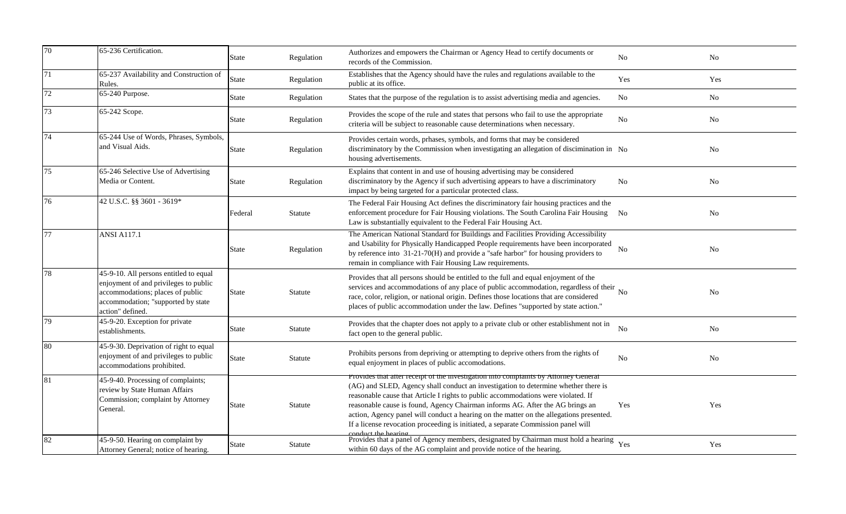| 70 | 65-236 Certification.                                                                                                                                                         | State        | Regulation | Authorizes and empowers the Chairman or Agency Head to certify documents or<br>records of the Commission.                                                                                                                                                                                                                                                                                                                                                                                                                                               | No             | N <sub>0</sub> |
|----|-------------------------------------------------------------------------------------------------------------------------------------------------------------------------------|--------------|------------|---------------------------------------------------------------------------------------------------------------------------------------------------------------------------------------------------------------------------------------------------------------------------------------------------------------------------------------------------------------------------------------------------------------------------------------------------------------------------------------------------------------------------------------------------------|----------------|----------------|
| 71 | 65-237 Availability and Construction of<br>Rules.                                                                                                                             | <b>State</b> | Regulation | Establishes that the Agency should have the rules and regulations available to the<br>public at its office.                                                                                                                                                                                                                                                                                                                                                                                                                                             | Yes            | Yes            |
| 72 | 65-240 Purpose.                                                                                                                                                               | State        | Regulation | States that the purpose of the regulation is to assist advertising media and agencies.                                                                                                                                                                                                                                                                                                                                                                                                                                                                  | N <sub>o</sub> | No             |
| 73 | 65-242 Scope.                                                                                                                                                                 | State        | Regulation | Provides the scope of the rule and states that persons who fail to use the appropriate<br>criteria will be subject to reasonable cause determinations when necessary.                                                                                                                                                                                                                                                                                                                                                                                   | N <sub>0</sub> | No             |
| 74 | 65-244 Use of Words, Phrases, Symbols,<br>and Visual Aids.                                                                                                                    | State        | Regulation | Provides certain words, prhases, symbols, and forms that may be considered<br>discriminatory by the Commission when investigating an allegation of discimination in No<br>housing advertisements.                                                                                                                                                                                                                                                                                                                                                       |                | No             |
| 75 | 65-246 Selective Use of Advertising<br>Media or Content.                                                                                                                      | State        | Regulation | Explains that content in and use of housing advertising may be considered<br>discriminatory by the Agency if such advertising appears to have a discriminatory<br>impact by being targeted for a particular protected class.                                                                                                                                                                                                                                                                                                                            | No             | No             |
| 76 | 42 U.S.C. §§ 3601 - 3619*                                                                                                                                                     | Federal      | Statute    | The Federal Fair Housing Act defines the discriminatory fair housing practices and the<br>enforcement procedure for Fair Housing violations. The South Carolina Fair Housing<br>Law is substantially equivalent to the Federal Fair Housing Act.                                                                                                                                                                                                                                                                                                        | N <sub>0</sub> | No             |
| 77 | <b>ANSI A117.1</b>                                                                                                                                                            | State        | Regulation | The American National Standard for Buildings and Facilities Providing Accessibility<br>and Usability for Physically Handicapped People requirements have been incorporated<br>by reference into 31-21-70(H) and provide a "safe harbor" for housing providers to<br>remain in compliance with Fair Housing Law requirements.                                                                                                                                                                                                                            | No             | N <sub>0</sub> |
| 78 | 45-9-10. All persons entitled to equal<br>enjoyment of and privileges to public<br>accommodations; places of public<br>accommodation; "supported by state<br>action" defined. | State        | Statute    | Provides that all persons should be entitled to the full and equal enjoyment of the<br>services and accommodations of any place of public accommodation, regardless of their<br>race, color, religion, or national origin. Defines those locations that are considered<br>places of public accommodation under the law. Defines "supported by state action."                                                                                                                                                                                            | N <sub>o</sub> | N <sub>0</sub> |
| 79 | 45-9-20. Exception for private<br>establishments.                                                                                                                             | State        | Statute    | Provides that the chapter does not apply to a private club or other establishment not in<br>fact open to the general public.                                                                                                                                                                                                                                                                                                                                                                                                                            | No             | N <sub>o</sub> |
| 80 | 45-9-30. Deprivation of right to equal<br>enjoyment of and privileges to public<br>accommodations prohibited.                                                                 | <b>State</b> | Statute    | Prohibits persons from depriving or attempting to deprive others from the rights of<br>equal enjoyment in places of public accomodations.                                                                                                                                                                                                                                                                                                                                                                                                               | <b>No</b>      | No             |
| 81 | 45-9-40. Processing of complaints;<br>review by State Human Affairs<br>Commission; complaint by Attorney<br>General.                                                          | State        | Statute    | Provides that after receipt of the investigation into complaints by Attorney General<br>(AG) and SLED, Agency shall conduct an investigation to determine whether there is<br>reasonable cause that Article I rights to public accommodations were violated. If<br>reasonable cause is found, Agency Chairman informs AG. After the AG brings an<br>action, Agency panel will conduct a hearing on the matter on the allegations presented.<br>If a license revocation proceeding is initiated, a separate Commission panel will<br>conduct the hearing | Yes            | Yes            |
| 82 | 45-9-50. Hearing on complaint by<br>Attorney General; notice of hearing.                                                                                                      | State        | Statute    | Provides that a panel of Agency members, designated by Chairman must hold a hearing<br>within 60 days of the AG complaint and provide notice of the hearing.                                                                                                                                                                                                                                                                                                                                                                                            | Yes            | Yes            |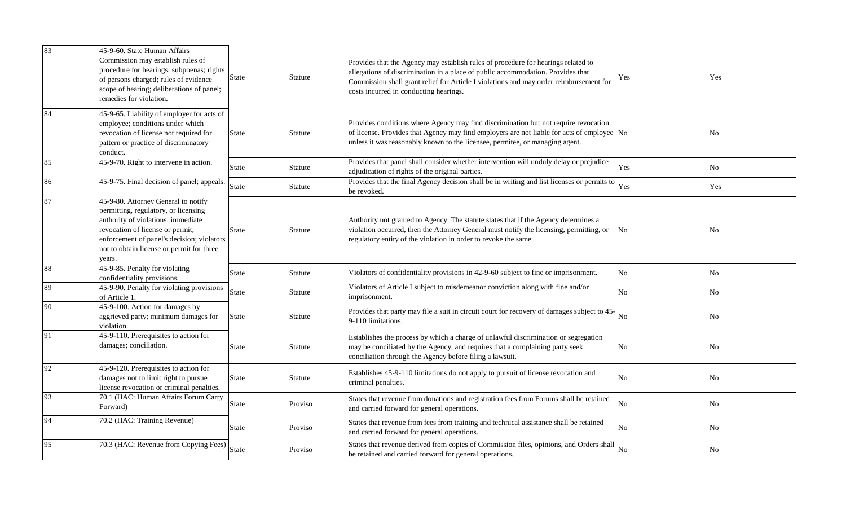| 83 | 45-9-60. State Human Affairs<br>Commission may establish rules of<br>procedure for hearings; subpoenas; rights<br>of persons charged; rules of evidence<br>scope of hearing; deliberations of panel;<br>remedies for violation.                            | State        | Statute | Provides that the Agency may establish rules of procedure for hearings related to<br>allegations of discrimination in a place of public accommodation. Provides that<br>Commission shall grant relief for Article I violations and may order reimbursement for<br>costs incurred in conducting hearings. | Yes            | Yes            |
|----|------------------------------------------------------------------------------------------------------------------------------------------------------------------------------------------------------------------------------------------------------------|--------------|---------|----------------------------------------------------------------------------------------------------------------------------------------------------------------------------------------------------------------------------------------------------------------------------------------------------------|----------------|----------------|
| 84 | 45-9-65. Liability of employer for acts of<br>employee; conditions under which<br>revocation of license not required for<br>pattern or practice of discriminatory<br>conduct.                                                                              | <b>State</b> | Statute | Provides conditions where Agency may find discrimination but not require revocation<br>of license. Provides that Agency may find employers are not liable for acts of employee No<br>unless it was reasonably known to the licensee, permitee, or managing agent.                                        |                | No             |
| 85 | 45-9-70. Right to intervene in action.                                                                                                                                                                                                                     | <b>State</b> | Statute | Provides that panel shall consider whether intervention will unduly delay or prejudice<br>adjudication of rights of the original parties.                                                                                                                                                                | Yes            | No             |
| 86 | 45-9-75. Final decision of panel; appeals.                                                                                                                                                                                                                 | <b>State</b> | Statute | Provides that the final Agency decision shall be in writing and list licenses or permits to Yes<br>be revoked.                                                                                                                                                                                           |                | Yes            |
| 87 | 45-9-80. Attorney General to notify<br>permitting, regulatory, or licensing<br>authority of violations; immediate<br>revocation of license or permit;<br>enforcement of panel's decision; violators<br>not to obtain license or permit for three<br>years. | <b>State</b> | Statute | Authority not granted to Agency. The statute states that if the Agency determines a<br>violation occurred, then the Attorney General must notify the licensing, permitting, or No<br>regulatory entity of the violation in order to revoke the same.                                                     |                | N <sub>o</sub> |
| 88 | 45-9-85. Penalty for violating<br>confidentiality provisions.                                                                                                                                                                                              | <b>State</b> | Statute | Violators of confidentiality provisions in 42-9-60 subject to fine or imprisonment.                                                                                                                                                                                                                      | N <sub>0</sub> | No             |
| 89 | 45-9-90. Penalty for violating provisions<br>of Article 1.                                                                                                                                                                                                 | <b>State</b> | Statute | Violators of Article I subject to misdemeanor conviction along with fine and/or<br>imprisonment.                                                                                                                                                                                                         | No.            | No.            |
| 90 | 45-9-100. Action for damages by<br>aggrieved party; minimum damages for<br>violation.                                                                                                                                                                      | <b>State</b> | Statute | Provides that party may file a suit in circuit court for recovery of damages subject to 45-No<br>9-110 limitations.                                                                                                                                                                                      |                | $\rm No$       |
| 91 | 45-9-110. Prerequisites to action for<br>damages; conciliation.                                                                                                                                                                                            | <b>State</b> | Statute | Establishes the process by which a charge of unlawful discrimination or segregation<br>may be conciliated by the Agency, and requires that a complaining party seek<br>conciliation through the Agency before filing a lawsuit.                                                                          | No             | No             |
| 92 | 45-9-120. Prerequisites to action for<br>damages not to limit right to pursue<br>license revocation or criminal penalties.                                                                                                                                 | <b>State</b> | Statute | Establishes 45-9-110 limitations do not apply to pursuit of license revocation and<br>criminal penalties.                                                                                                                                                                                                | N <sub>0</sub> | N <sub>o</sub> |
| 93 | 70.1 (HAC: Human Affairs Forum Carry<br>Forward)                                                                                                                                                                                                           | <b>State</b> | Proviso | States that revenue from donations and registration fees from Forums shall be retained<br>and carried forward for general operations.                                                                                                                                                                    | N <sub>0</sub> | No             |
| 94 | 70.2 (HAC: Training Revenue)                                                                                                                                                                                                                               | <b>State</b> | Proviso | States that revenue from fees from training and technical assistance shall be retained<br>and carried forward for general operations.                                                                                                                                                                    | N <sub>0</sub> | N <sub>o</sub> |
| 95 | 70.3 (HAC: Revenue from Copying Fees)                                                                                                                                                                                                                      | <b>State</b> | Proviso | States that revenue derived from copies of Commission files, opinions, and Orders shall<br>be retained and carried forward for general operations.                                                                                                                                                       | No             | N <sub>o</sub> |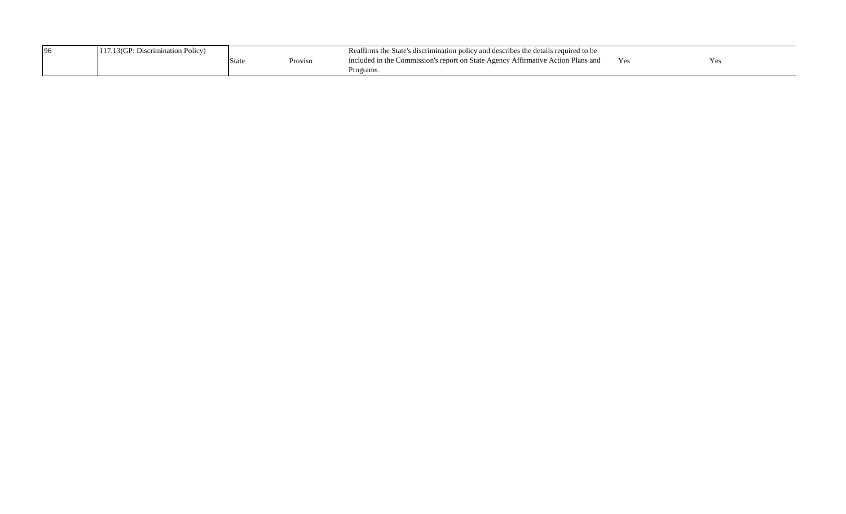| 96 | Discrimination Policy <sup>3</sup> |      |         | is the State's discrimination policy and describes the details required to be<br>Keattırms |       |     |
|----|------------------------------------|------|---------|--------------------------------------------------------------------------------------------|-------|-----|
|    |                                    | Stat | Proviso | included in the Commission's report on State Agency Affirmative Action Plans and           | 1 C.S | Yes |
|    |                                    |      |         | Programs.                                                                                  |       |     |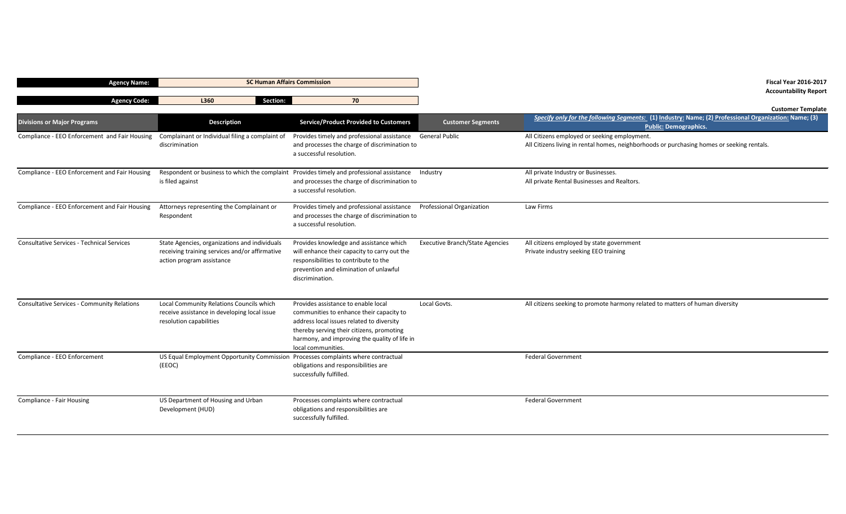| <b>Agency Name:</b>                                | <b>SC Human Affairs Commission</b>                                                                                           |                                                                                                                                                                                                                                                  |                                        | <b>Fiscal Year 2016-2017</b>                                                                                                               |
|----------------------------------------------------|------------------------------------------------------------------------------------------------------------------------------|--------------------------------------------------------------------------------------------------------------------------------------------------------------------------------------------------------------------------------------------------|----------------------------------------|--------------------------------------------------------------------------------------------------------------------------------------------|
| <b>Agency Code:</b>                                | Section:<br>L360                                                                                                             | 70                                                                                                                                                                                                                                               |                                        | <b>Accountability Report</b>                                                                                                               |
|                                                    |                                                                                                                              |                                                                                                                                                                                                                                                  |                                        | <b>Customer Template</b>                                                                                                                   |
| <b>Divisions or Major Programs</b>                 | <b>Description</b>                                                                                                           | <b>Service/Product Provided to Customers</b>                                                                                                                                                                                                     | <b>Customer Segments</b>               | Specify only for the following Segments: (1) Industry: Name; (2) Professional Organization: Name; (3)<br><b>Public: Demographics.</b>      |
| Compliance - EEO Enforcement and Fair Housing      | Complainant or Individual filing a complaint of<br>discrimination                                                            | Provides timely and professional assistance General Public<br>and processes the charge of discrimination to<br>a successful resolution.                                                                                                          |                                        | All Citizens employed or seeking employment.<br>All Citizens living in rental homes, neighborhoods or purchasing homes or seeking rentals. |
| Compliance - EEO Enforcement and Fair Housing      | is filed against                                                                                                             | Respondent or business to which the complaint Provides timely and professional assistance Industry<br>and processes the charge of discrimination to<br>a successful resolution.                                                                  |                                        | All private Industry or Businesses.<br>All private Rental Businesses and Realtors.                                                         |
| Compliance - EEO Enforcement and Fair Housing      | Attorneys representing the Complainant or<br>Respondent                                                                      | Provides timely and professional assistance<br>and processes the charge of discrimination to<br>a successful resolution.                                                                                                                         | <b>Professional Organization</b>       | Law Firms                                                                                                                                  |
| <b>Consultative Services - Technical Services</b>  | State Agencies, organizations and individuals<br>receiving training services and/or affirmative<br>action program assistance | Provides knowledge and assistance which<br>will enhance their capacity to carry out the<br>responsibilities to contribute to the<br>prevention and elimination of unlawful<br>discrimination.                                                    | <b>Executive Branch/State Agencies</b> | All citizens employed by state government<br>Private industry seeking EEO training                                                         |
| <b>Consultative Services - Community Relations</b> | Local Community Relations Councils which<br>receive assistance in developing local issue<br>resolution capabilities          | Provides assistance to enable local<br>communities to enhance their capacity to<br>address local issues related to diversity<br>thereby serving their citizens, promoting<br>harmony, and improving the quality of life in<br>local communities. | Local Govts.                           | All citizens seeking to promote harmony related to matters of human diversity                                                              |
| Compliance - EEO Enforcement                       | US Equal Employment Opportunity Commission Processes complaints where contractual<br>(EEOC)                                  | obligations and responsibilities are<br>successfully fulfilled.                                                                                                                                                                                  |                                        | <b>Federal Government</b>                                                                                                                  |
| Compliance - Fair Housing                          | US Department of Housing and Urban<br>Development (HUD)                                                                      | Processes complaints where contractual<br>obligations and responsibilities are<br>successfully fulfilled.                                                                                                                                        |                                        | <b>Federal Government</b>                                                                                                                  |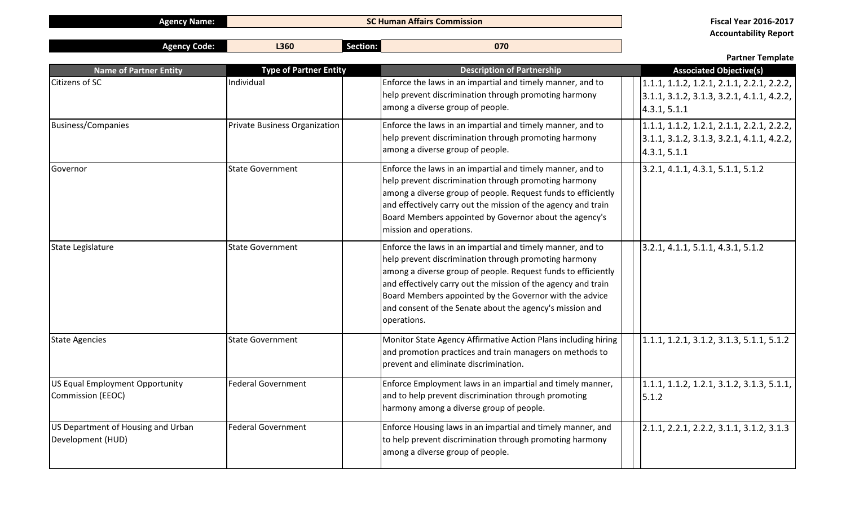**Agency Name: SC Human Affairs Commission Fiscal Year 2016-2017**

**Accountability Report**

|                                                         |                                      |                                                                                                                                                                                                                                                                                                                                                                                             | <b>Partner Template</b>                                                                                    |
|---------------------------------------------------------|--------------------------------------|---------------------------------------------------------------------------------------------------------------------------------------------------------------------------------------------------------------------------------------------------------------------------------------------------------------------------------------------------------------------------------------------|------------------------------------------------------------------------------------------------------------|
| <b>Name of Partner Entity</b>                           | <b>Type of Partner Entity</b>        | <b>Description of Partnership</b>                                                                                                                                                                                                                                                                                                                                                           | <b>Associated Objective(s)</b>                                                                             |
| <b>Citizens of SC</b>                                   | Individual                           | Enforce the laws in an impartial and timely manner, and to<br>help prevent discrimination through promoting harmony<br>among a diverse group of people.                                                                                                                                                                                                                                     | $1.1.1, 1.1.2, 1.2.1, 2.1.1, 2.2.1, 2.2.2,$<br>$3.1.1, 3.1.2, 3.1.3, 3.2.1, 4.1.1, 4.2.2,$<br>4.3.1, 5.1.1 |
| <b>Business/Companies</b>                               | <b>Private Business Organization</b> | Enforce the laws in an impartial and timely manner, and to<br>help prevent discrimination through promoting harmony<br>among a diverse group of people.                                                                                                                                                                                                                                     | $1.1.1, 1.1.2, 1.2.1, 2.1.1, 2.2.1, 2.2.2,$<br>$3.1.1, 3.1.2, 3.1.3, 3.2.1, 4.1.1, 4.2.2,$<br>4.3.1, 5.1.1 |
| Governor                                                | <b>State Government</b>              | Enforce the laws in an impartial and timely manner, and to<br>help prevent discrimination through promoting harmony<br>among a diverse group of people. Request funds to efficiently<br>and effectively carry out the mission of the agency and train<br>Board Members appointed by Governor about the agency's<br>mission and operations.                                                  | 3.2.1, 4.1.1, 4.3.1, 5.1.1, 5.1.2                                                                          |
| State Legislature                                       | <b>State Government</b>              | Enforce the laws in an impartial and timely manner, and to<br>help prevent discrimination through promoting harmony<br>among a diverse group of people. Request funds to efficiently<br>and effectively carry out the mission of the agency and train<br>Board Members appointed by the Governor with the advice<br>and consent of the Senate about the agency's mission and<br>operations. | 3.2.1, 4.1.1, 5.1.1, 4.3.1, 5.1.2                                                                          |
| <b>State Agencies</b>                                   | <b>State Government</b>              | Monitor State Agency Affirmative Action Plans including hiring<br>and promotion practices and train managers on methods to<br>prevent and eliminate discrimination.                                                                                                                                                                                                                         | $1.1.1, 1.2.1, 3.1.2, 3.1.3, 5.1.1, 5.1.2$                                                                 |
| US Equal Employment Opportunity<br>Commission (EEOC)    | <b>Federal Government</b>            | Enforce Employment laws in an impartial and timely manner,<br>and to help prevent discrimination through promoting<br>harmony among a diverse group of people.                                                                                                                                                                                                                              | $1.1.1, 1.1.2, 1.2.1, 3.1.2, 3.1.3, 5.1.1,$<br>5.1.2                                                       |
| US Department of Housing and Urban<br>Development (HUD) | <b>Federal Government</b>            | Enforce Housing laws in an impartial and timely manner, and<br>to help prevent discrimination through promoting harmony<br>among a diverse group of people.                                                                                                                                                                                                                                 | $2.1.1, 2.2.1, 2.2.2, 3.1.1, 3.1.2, 3.1.3$                                                                 |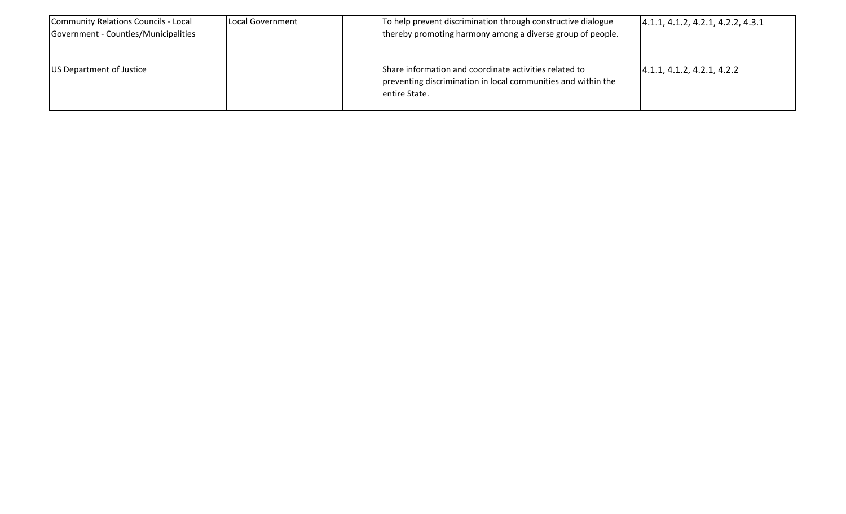| Community Relations Councils - Local<br>Government - Counties/Municipalities | Local Government | To help prevent discrimination through constructive dialogue<br>thereby promoting harmony among a diverse group of people.               | (4.1.1, 4.1.2, 4.2.1, 4.2.2, 4.3.1) |
|------------------------------------------------------------------------------|------------------|------------------------------------------------------------------------------------------------------------------------------------------|-------------------------------------|
| US Department of Justice                                                     |                  | Share information and coordinate activities related to<br>preventing discrimination in local communities and within the<br>entire State. | [4.1.1, 4.1.2, 4.2.1, 4.2.2]        |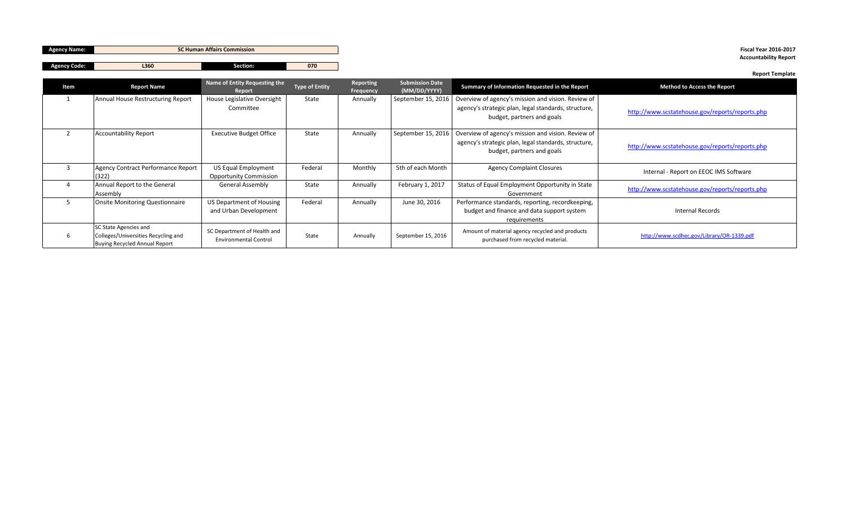| <b>Agency Name:</b> |                                                                                                      | <b>SC Human Affairs Commission</b>                          |                       |                               |                                        |                                                                                                                                          | <b>Fiscal Year 2016-2017</b><br><b>Accountability Report</b> |
|---------------------|------------------------------------------------------------------------------------------------------|-------------------------------------------------------------|-----------------------|-------------------------------|----------------------------------------|------------------------------------------------------------------------------------------------------------------------------------------|--------------------------------------------------------------|
| <b>Agency Code:</b> | L360                                                                                                 | Section:                                                    | 070                   |                               |                                        |                                                                                                                                          |                                                              |
| Item                | <b>Report Name</b>                                                                                   | Name of Entity Requesting the<br>Report                     | <b>Type of Entity</b> | Reporting<br><b>Frequency</b> | <b>Submission Date</b><br>(MM/DD/YYYY) | Summary of Information Requested in the Report                                                                                           | <b>Report Template</b><br><b>Method to Access the Report</b> |
|                     | Annual House Restructuring Report                                                                    | House Legislative Oversight<br>Committee                    | State                 | Annually                      | September 15, 2016                     | Overview of agency's mission and vision. Review of<br>agency's strategic plan, legal standards, structure,<br>budget, partners and goals | http://www.scstatehouse.gov/reports/reports.php              |
| $\overline{2}$      | <b>Accountability Report</b>                                                                         | <b>Executive Budget Office</b>                              | State                 | Annually                      | September 15, 2016                     | Overview of agency's mission and vision. Review of<br>agency's strategic plan, legal standards, structure,<br>budget, partners and goals | http://www.scstatehouse.gov/reports/reports.php              |
| $\overline{3}$      | Agency Contract Performance Report<br>(322)                                                          | <b>US Equal Employment</b><br><b>Opportunity Commission</b> | Federal               | Monthly                       | 5th of each Month                      | <b>Agency Complaint Closures</b>                                                                                                         | Internal - Report on EEOC IMS Software                       |
| $\overline{4}$      | Annual Report to the General<br>Assembly                                                             | <b>General Assembly</b>                                     | State                 | Annually                      | February 1, 2017                       | Status of Equal Employment Opportunity in State<br>Government                                                                            | http://www.scstatehouse.gov/reports/reports.php              |
| -5                  | <b>Onsite Monitoring Questionnaire</b>                                                               | US Department of Housing<br>and Urban Development           | Federal               | Annually                      | June 30, 2016                          | Performance standards, reporting, recordkeeping,<br>budget and finance and data support system<br>requirements                           | <b>Internal Records</b>                                      |
|                     | SC State Agencies and<br>Colleges/Universities Recycling and<br><b>Buying Recycled Annual Report</b> | SC Department of Health and<br><b>Environmental Control</b> | State                 | Annually                      | September 15, 2016                     | Amount of material agency recycled and products<br>purchased from recycled material.                                                     | http://www.scdhec.gov/Library/OR-1339.pdf                    |